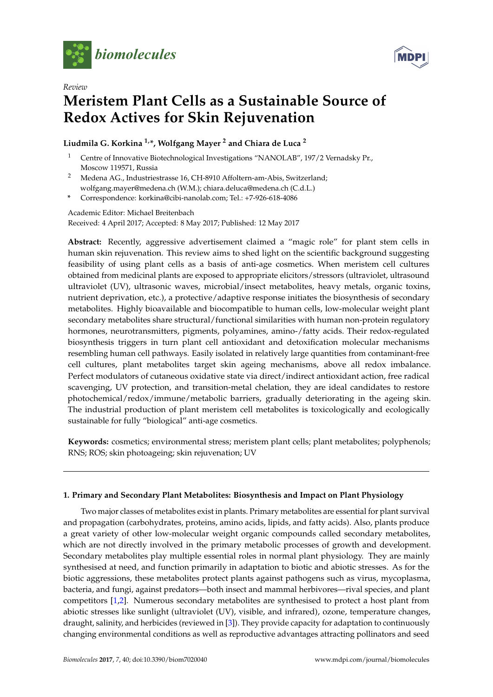

*Review*



# **Meristem Plant Cells as a Sustainable Source of Redox Actives for Skin Rejuvenation**

# **Liudmila G. Korkina 1,\*, Wolfgang Mayer <sup>2</sup> and Chiara de Luca <sup>2</sup>**

- <sup>1</sup> Centre of Innovative Biotechnological Investigations "NANOLAB", 197/2 Vernadsky Pr., Moscow 119571, Russia
- <sup>2</sup> Medena AG., Industriestrasse 16, CH-8910 Affoltern-am-Abis, Switzerland; wolfgang.mayer@medena.ch (W.M.); chiara.deluca@medena.ch (C.d.L.)
- **\*** Correspondence: korkina@cibi-nanolab.com; Tel.: +7-926-618-4086

Academic Editor: Michael Breitenbach Received: 4 April 2017; Accepted: 8 May 2017; Published: 12 May 2017

**Abstract:** Recently, aggressive advertisement claimed a "magic role" for plant stem cells in human skin rejuvenation. This review aims to shed light on the scientific background suggesting feasibility of using plant cells as a basis of anti-age cosmetics. When meristem cell cultures obtained from medicinal plants are exposed to appropriate elicitors/stressors (ultraviolet, ultrasound ultraviolet (UV), ultrasonic waves, microbial/insect metabolites, heavy metals, organic toxins, nutrient deprivation, etc.), a protective/adaptive response initiates the biosynthesis of secondary metabolites. Highly bioavailable and biocompatible to human cells, low-molecular weight plant secondary metabolites share structural/functional similarities with human non-protein regulatory hormones, neurotransmitters, pigments, polyamines, amino-/fatty acids. Their redox-regulated biosynthesis triggers in turn plant cell antioxidant and detoxification molecular mechanisms resembling human cell pathways. Easily isolated in relatively large quantities from contaminant-free cell cultures, plant metabolites target skin ageing mechanisms, above all redox imbalance. Perfect modulators of cutaneous oxidative state via direct/indirect antioxidant action, free radical scavenging, UV protection, and transition-metal chelation, they are ideal candidates to restore photochemical/redox/immune/metabolic barriers, gradually deteriorating in the ageing skin. The industrial production of plant meristem cell metabolites is toxicologically and ecologically sustainable for fully "biological" anti-age cosmetics.

**Keywords:** cosmetics; environmental stress; meristem plant cells; plant metabolites; polyphenols; RNS; ROS; skin photoageing; skin rejuvenation; UV

# **1. Primary and Secondary Plant Metabolites: Biosynthesis and Impact on Plant Physiology**

Two major classes of metabolites exist in plants. Primary metabolites are essential for plant survival and propagation (carbohydrates, proteins, amino acids, lipids, and fatty acids). Also, plants produce a great variety of other low-molecular weight organic compounds called secondary metabolites, which are not directly involved in the primary metabolic processes of growth and development. Secondary metabolites play multiple essential roles in normal plant physiology. They are mainly synthesised at need, and function primarily in adaptation to biotic and abiotic stresses. As for the biotic aggressions, these metabolites protect plants against pathogens such as virus, mycoplasma, bacteria, and fungi, against predators—both insect and mammal herbivores—rival species, and plant competitors [\[1](#page-13-0)[,2\]](#page-13-1). Numerous secondary metabolites are synthesised to protect a host plant from abiotic stresses like sunlight (ultraviolet (UV), visible, and infrared), ozone, temperature changes, draught, salinity, and herbicides (reviewed in [\[3\]](#page-14-0)). They provide capacity for adaptation to continuously changing environmental conditions as well as reproductive advantages attracting pollinators and seed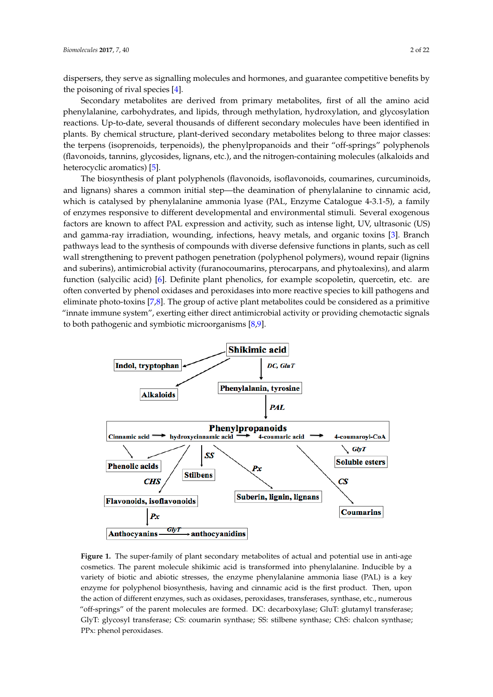dispersers, they serve as signalling molecules and hormones, and guarantee competitive benefits by the poisoning of rival species  $[4]$ .

Secondary metabolites are derived from primary metabolites, first of all the amino acid phenylalanine, carbohydrates, and lipids, through methylation, hydroxylation, and glycosylation reactions. Up-to-date, several thousands of different secondary molecules have been identified in plants. By chemical structure, plant-derived secondary metabolites belong to three major classes: the terpens (isoprenoids, terpenoids), the phenylpropanoids and their "off-springs" polyphenols (flavonoids, tannins, glycosides, lignans, etc.), and the nitrogen-containing molecules (alkaloids and heterocyclic aromatics) [\[5\]](#page-14-2).

The biosynthesis of plant polyphenols (flavonoids, isoflavonoids, coumarines, curcuminoids, and lignans) shares a common initial step—the deamination of phenylalanine to cinnamic acid, which is catalysed by phenylalanine ammonia lyase (PAL, Enzyme Catalogue 4-3.1-5), a family function (salycidic acid) in the metal of enzymes responsive to different developmental and environmental stimuli. Several exogenous factors are known to affect PAL expression and activity, such as intense light, UV, ultrasonic (US) and gamma-ray irradiation, wounding, infections, heavy metals, and organic toxins [\[3\]](#page-14-0). Branch pathways lead to the synthesis of compounds with diverse defensive functions in plants, such as cell wall strengthening to prevent pathogen penetration (polyphenol polymers), wound repair (lignins and suberins), antimicrobial activity (furanocoumarins, pterocarpans, and phytoalexins), and alarm function (salycilic acid) [\[6\]](#page-14-3). Definite plant phenolics, for example scopoletin, quercetin, etc. are often converted by phenol oxidases and peroxidases into more reactive species to kill pathogens and eliminate photo-toxins [\[7](#page-14-4)[,8\]](#page-14-5). The group of active plant metabolites could be considered as a primitive "innate immune system", exerting either direct antimicrobial activity or providing chemotactic signals to both pathogenic and symbiotic microorganisms  $[8,9]$  $[8,9]$ .  $\alpha$  gammung maandon, wounding, meedons, neavy meass, and organic toxins [0]. Dan

<span id="page-1-0"></span>

**Figure 1.** The **s**uper‐family of plant secondary metabolites of actual and potential use in anti‐age **Figure 1.** The super-family of plant secondary metabolites of actual and potential use in anti-age cosmetics. The parent molecule shikimic acid is transformed into phenylalanine. Inducible by a cosmetics. The parent molecule shikimic acid is transformed into phenylalanine. Inducible by a variety of biotic and abiotic stresses, the enzyme phenylalanine ammonia liase (PAL) is a key enzyme for polyphenol biosynthesis, having and cinnamic acid is the first product. Then, upon the action of different enzymes, such as oxidases, peroxidases, transferases, synthase, etc., numerous "off-springs" of the parent molecules are formed. DC: decarboxylase; GluT: glutamyl transferase; GlyT: glycosyl transferase; CS: coumarin synthase; SS: stilbene synthase; ChS: chalcon synthase; PPx: phenol peroxidases.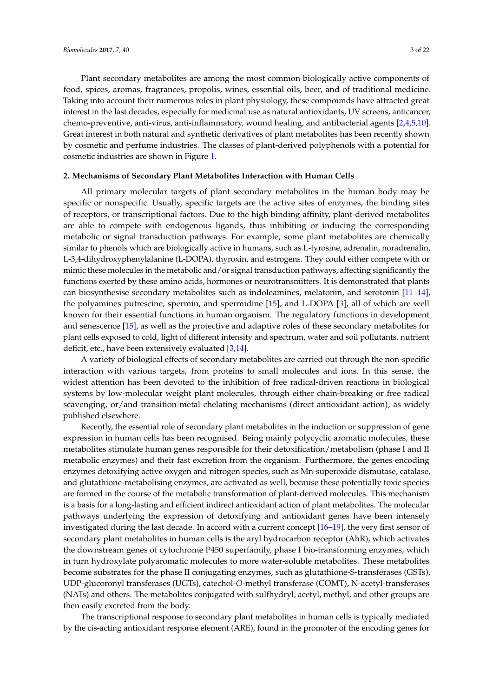Plant secondary metabolites are among the most common biologically active components of food, spices, aromas, fragrances, propolis, wines, essential oils, beer, and of traditional medicine. Taking into account their numerous roles in plant physiology, these compounds have attracted great interest in the last decades, especially for medicinal use as natural antioxidants, UV screens, anticancer, chemo-preventive, anti-virus, anti-inflammatory, wound healing, and antibacterial agents [\[2,](#page-13-1)[4,](#page-14-1)[5,](#page-14-2)[10\]](#page-14-7). Great interest in both natural and synthetic derivatives of plant metabolites has been recently shown by cosmetic and perfume industries. The classes of plant-derived polyphenols with a potential for cosmetic industries are shown in Figure [1.](#page-1-0)

### **2. Mechanisms of Secondary Plant Metabolites Interaction with Human Cells**

All primary molecular targets of plant secondary metabolites in the human body may be specific or nonspecific. Usually, specific targets are the active sites of enzymes, the binding sites of receptors, or transcriptional factors. Due to the high binding affinity, plant-derived metabolites are able to compete with endogenous ligands, thus inhibiting or inducing the corresponding metabolic or signal transduction pathways. For example, some plant metabolites are chemically similar to phenols which are biologically active in humans, such as L-tyrosine, adrenalin, noradrenalin, L-3,4-dihydroxyphenylalanine (L-DOPA), thyroxin, and estrogens. They could either compete with or mimic these molecules in the metabolic and/or signal transduction pathways, affecting significantly the functions exerted by these amino acids, hormones or neurotransmitters. It is demonstrated that plants can biosynthesise secondary metabolites such as indoleamines, melatonin, and serotonin [\[11](#page-14-8)[–14\]](#page-14-9), the polyamines putrescine, spermin, and spermidine [\[15\]](#page-14-10), and L-DOPA [\[3\]](#page-14-0), all of which are well known for their essential functions in human organism. The regulatory functions in development and senescence [\[15\]](#page-14-10), as well as the protective and adaptive roles of these secondary metabolites for plant cells exposed to cold, light of different intensity and spectrum, water and soil pollutants, nutrient deficit, etc., have been extensively evaluated [\[3,](#page-14-0)[14\]](#page-14-9).

A variety of biological effects of secondary metabolites are carried out through the non-specific interaction with various targets, from proteins to small molecules and ions. In this sense, the widest attention has been devoted to the inhibition of free radical-driven reactions in biological systems by low-molecular weight plant molecules, through either chain-breaking or free radical scavenging, or/and transition-metal chelating mechanisms (direct antioxidant action), as widely published elsewhere.

Recently, the essential role of secondary plant metabolites in the induction or suppression of gene expression in human cells has been recognised. Being mainly polycyclic aromatic molecules, these metabolites stimulate human genes responsible for their detoxification/metabolism (phase I and II metabolic enzymes) and their fast excretion from the organism. Furthermore, the genes encoding enzymes detoxifying active oxygen and nitrogen species, such as Mn-superoxide dismutase, catalase, and glutathione-metabolising enzymes, are activated as well, because these potentially toxic species are formed in the course of the metabolic transformation of plant-derived molecules. This mechanism is a basis for a long-lasting and efficient indirect antioxidant action of plant metabolites. The molecular pathways underlying the expression of detoxifying and antioxidant genes have been intensely investigated during the last decade. In accord with a current concept [\[16–](#page-14-11)[19\]](#page-14-12), the very first sensor of secondary plant metabolites in human cells is the aryl hydrocarbon receptor (AhR), which activates the downstream genes of cytochrome P450 superfamily, phase I bio-transforming enzymes, which in turn hydroxylate polyaromatic molecules to more water-soluble metabolites. These metabolites become substrates for the phase II conjugating enzymes, such as glutathione-S-transferases (GSTs), UDP-glucoronyl transferases (UGTs), catechol-*O*-methyl transferase (COMT), N-acetyl-transferases (NATs) and others. The metabolites conjugated with sulfhydryl, acetyl, methyl, and other groups are then easily excreted from the body.

The transcriptional response to secondary plant metabolites in human cells is typically mediated by the cis-acting antioxidant response element (ARE), found in the promoter of the encoding genes for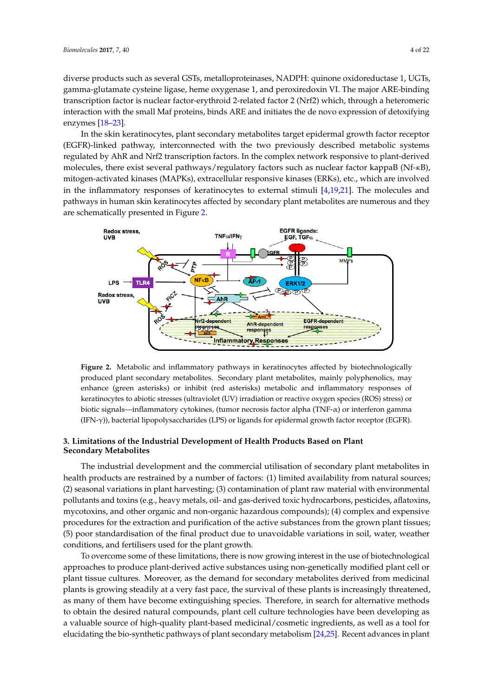diverse products such as several GSTs, metalloproteinases, NADPH: quinone oxidoreductase 1, UGTs, gamma-glutamate cysteine ligase, heme oxygenase 1, and peroxiredoxin VI. The major ARE-binding transcription factor is nuclear factor-erythroid 2-related factor 2 (Nrf2) which, through a heteromeric interaction with the small Maf proteins, binds ARE and initiates the de novo expression of detoxifying enzymes [\[18](#page-14-13)[–23\]](#page-14-14).

In the skin keratinocytes, plant secondary metabolites target epidermal growth factor receptor *Biomolecules* **2017**, *7*, 40 4 of 21 (EGFR)-linked pathway, interconnected with the two previously described metabolic systems regulated by AhR and Nrf2 transcription factors. In the complex network responsive to plant-derived molecules, there exist several pathways/regulatory factors such as nuclear factor kappaB (Nf-κB), mitogen-activated kinases (MAPKs), extracellular responsive kinases (ERKs), etc., which are involved in the inflammatory responses of keratinocytes to external stimuli  $[4,19,21]$  $[4,19,21]$  $[4,19,21]$ . The molecules and pathways in human skin keratinocytes affected by secondary plant metabolites are numerous and they are schematically presented in Figure 2.  $\frac{1}{\sqrt{2}}$ 

<span id="page-3-0"></span>

**Figure 2.** Metabolic and inflammatory pathways in keratinocytes affected by biotechnologically **Figure 2.** Metabolic and inflammatory pathways in keratinocytes affected by biotechnologically produced plant secondary metabolites. Secondary plant metabolites, mainly polyphenolics, may produced plant secondary metabolites. Secondary plant metabolites, mainly polyphenolics, may enhance (green asterisks) or inhibit (red asterisks) metabolic and inflammatory responses of enhance (green asterisks) or inhibit (red asterisks) metabolic and inflammatory responses of  $k_{\text{c}}$ keratinocytes to abiotic stresses (ultraviolet (UV) irradiation or reactive oxygen species (ROS) stress) or<br>. biotic signals—inflammatory cytokines, (tumor necrosis factor alpha (TNF- $\alpha$ ) or interferon gamma (IFN-γ)), bacterial lipopolysaccharides (LPS) or ligands for epidermal growth factor receptor (EGFR).

#### **Metabolites 3. Limitations of the Industrial Development of Health Products Based on Plant**  $T_{\text{max}}$  decreases the commercial utilisation of secondary plant metabolites in secondary plant metabolites in  $\mathcal{L}$ **Secondary Metabolites**

The industrial development and the commercial utilisation of secondary plant metabolites in health products are restrained by a number of factors: (1) limited availability from natural sources; (2) seasonal variations in plant harvesting; (3) contamination of plant raw material with environmental pollutants and toxins (e.g., heavy metals, oil- and gas-derived toxic hydrocarbons, pesticides, aflatoxins,  $\frac{1}{2}$  complex and extraction  $\frac{1}{2}$  and  $\frac{1}{2}$  and  $\frac{1}{2}$  and  $\frac{1}{2}$  and  $\frac{1}{2}$  and  $\frac{1}{2}$  and  $\frac{1}{2}$  and  $\frac{1}{2}$  and  $\frac{1}{2}$  and  $\frac{1}{2}$  and  $\frac{1}{2}$  and  $\frac{1}{2}$  and  $\frac{1}{2}$  and  $\frac{1}{$ mycotoxins, and other organic and non-organic hazardous compounds); (4) complex and expensive<br> procedures for the extraction and purification of the active substances from the grown plant tissues; (5) poor standardisation of the final product due to unavoidable variations in soil, water, weather conditions, and fertilisers used for the plant growth.

To overcome some of these limitations, there is now growing interest in the use of biotechnological approaches to produce plant-derived active substances using non-genetically modified plant cell or plant tissue cultures. Moreover, as the demand for secondary metabolites derived from medicinal .<br>plants is growing steadily at a very fast pace, the survival of these plants is increasingly threatened, be been developed as a very label place, are balance of higher plants to higher medicinal as many of them have become extinguishing species. Therefore, in search for alternative methods to obtain the desired natural compounds, plant cell culture technologies have been developing as a valuable source of high-quality plant-based medicinal/cosmetic ingredients, as well as a tool for elucidating the bio-synthetic pathways of plant secondary metabolism [\[24,](#page-14-16)[25\]](#page-14-17). Recent advances in plant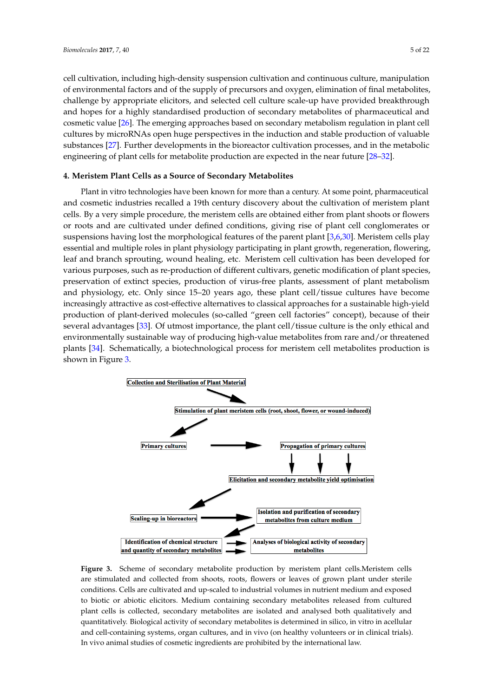cell cultivation, including high-density suspension cultivation and continuous culture, manipulation of environmental factors and of the supply of precursors and oxygen, elimination of final metabolites, challenge by appropriate elicitors, and selected cell culture scale-up have provided breakthrough and hopes for a highly standardised production of secondary metabolites of pharmaceutical and cosmetic value [\[26\]](#page-15-0). The emerging approaches based on secondary metabolism regulation in plant cell cultures by microRNAs open huge perspectives in the induction and stable production of valuable substances [\[27\]](#page-15-1). Further developments in the bioreactor cultivation processes, and in the metabolic engineering of plant cells for metabolite production are expected in the near future [\[28–](#page-15-2)[32\]](#page-15-3). *Biomolecules* **2017**, *7*, 40 5 of 21

# **4. Meristem Plant Cells as a Source of Secondary Metabolites**

Plant in vitro technologies have been known for more than a century. At some point, pharmaceutical and cosmetic industries recalled a 19th century discovery about the cultivation of meristem plant cells. By a very simple procedure, the meristem cells are obtained either from plant shoots or flowers or roots and are cultivated under defined conditions, giving rise of plant cell conglomerates or suspensions having lost the morphological features of the parent plant [ $3,\!6,\!30$ ]. Meristem cells play essential and multiple roles in plant physiology participating in plant growth, regeneration, flowering, leaf and branch sprouting, wound healing, etc. Meristem cell cultivation has been developed for various purposes, such as re-production of different cultivars, genetic modification of plant species, preservation of extinct species, production of virus-free plants, assessment of plant metabolism and physiology, etc. Only since 15–20 years ago, these plant cell/tissue cultures have become increasingly attractive as cost-effective alternatives to classical approaches for a sustainable high-yield production of plant-derived molecules (so-called "green cell factories" concept), because of their several advantages [\[33\]](#page-15-5). Of utmost importance, the plant cell/tissue culture is the only ethical and environmentally sustainable way of producing high-value metabolites from rare and/or threatened environmentally sustainable way of producing right value includentes from the dita, or directed<br>plants [\[34\]](#page-15-6). Schematically, a biotechnological process for meristem cell metabolites production is shown in Figure [3.](#page-4-0) regeneration, flowering, contract and branch sprouting, association of plant metal cellitismuch the only explore in the only environmental and environmental and producing  $\mu$ metabolites from rare and or threatened plants  $\alpha$  biotechnologically, a biotechnological process for  $\alpha$ 

<span id="page-4-0"></span>

Figure 3. Scheme of secondary metabolite production by meristem plant cells.Meristem cells  $s_{\rm{c}}$  roots, roots, roots, roots, roots, flowers or leaves or leaves of grown plant under sterile conditions. are stimulated and collected from shoots, roots, flowers or leaves of grown plant under sterile conditions. Cells are cultivated and up-scaled to industrial volumes in nutrient medium and exposed to biotic or abiotic elicitors. Medium containing secondary metabolites released from cultured plant cells is collected, secondary metabolites are isolated and analysed both qualitatively and quantitatively. Biological activity of secondary metabolites is determined in silico, in vitro in acellular and cell-containing systems, organ cultures, and in vivo (on healthy volunteers or in clinical trials). In vivo animal studies of cosmetic ingredients are prohibited by the international law.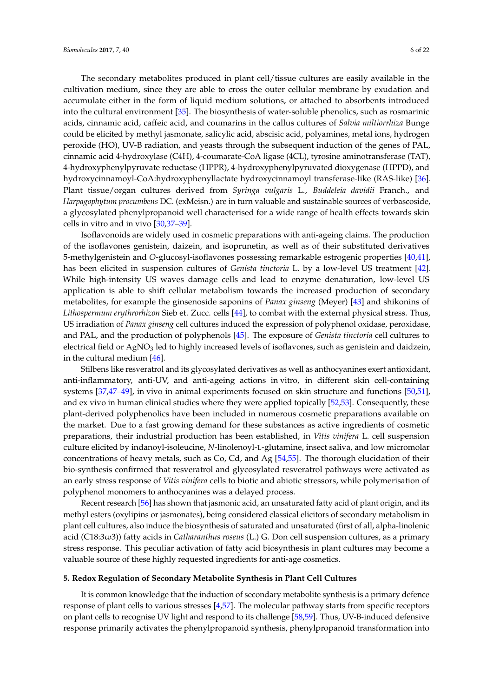The secondary metabolites produced in plant cell/tissue cultures are easily available in the cultivation medium, since they are able to cross the outer cellular membrane by exudation and accumulate either in the form of liquid medium solutions, or attached to absorbents introduced into the cultural environment [\[35\]](#page-15-7). The biosynthesis of water-soluble phenolics, such as rosmarinic acids, cinnamic acid, caffeic acid, and coumarins in the callus cultures of *Salvia miltiorrhiza* Bunge could be elicited by methyl jasmonate, salicylic acid, abscisic acid, polyamines, metal ions, hydrogen peroxide (HO), UV-B radiation, and yeasts through the subsequent induction of the genes of PAL, cinnamic acid 4-hydroxylase (C4H), 4-coumarate-CoA ligase (4CL), tyrosine aminotransferase (TAT), 4-hydroxyphenylpyruvate reductase (HPPR), 4-hydroxyphenylpyruvated dioxygenase (HPPD), and hydroxycinnamoyl-CoA:hydroxyphenyllactate hydroxycinnamoyl transferase-like (RAS-like) [\[36\]](#page-15-8). Plant tissue/organ cultures derived from *Syringa vulgaris* L., *Buddeleia davidii* Franch., and *Harpagophytum procumbens* DC. (exMeisn.) are in turn valuable and sustainable sources of verbascoside, a glycosylated phenylpropanoid well characterised for a wide range of health effects towards skin cells in vitro and in vivo [\[30](#page-15-4)[,37](#page-15-9)[–39\]](#page-15-10).

Isoflavonoids are widely used in cosmetic preparations with anti-ageing claims. The production of the isoflavones genistein, daizein, and isoprunetin, as well as of their substituted derivatives 5-methylgenistein and *O*-glucosyl-isoflavones possessing remarkable estrogenic properties [\[40,](#page-15-11)[41\]](#page-15-12), has been elicited in suspension cultures of *Genista tinctoria* L. by a low-level US treatment [\[42\]](#page-15-13). While high-intensity US waves damage cells and lead to enzyme denaturation, low-level US application is able to shift cellular metabolism towards the increased production of secondary metabolites, for example the ginsenoside saponins of *Panax ginseng* (Meyer) [\[43\]](#page-15-14) and shikonins of *Lithospermum erythrorhizon* Sieb et. Zucc. cells [\[44\]](#page-15-15), to combat with the external physical stress. Thus, US irradiation of *Panax ginseng* cell cultures induced the expression of polyphenol oxidase, peroxidase, and PAL, and the production of polyphenols [\[45\]](#page-15-16). The exposure of *Genista tinctoria* cell cultures to electrical field or  $AgNO<sub>3</sub>$  led to highly increased levels of isoflavones, such as genistein and daidzein, in the cultural medium [\[46\]](#page-15-17).

Stilbens like resveratrol and its glycosylated derivatives as well as anthocyanines exert antioxidant, anti-inflammatory, anti-UV, and anti-ageing actions in vitro, in different skin cell-containing systems [\[37](#page-15-9)[,47](#page-16-0)[–49\]](#page-16-1), in vivo in animal experiments focused on skin structure and functions [\[50,](#page-16-2)[51\]](#page-16-3), and ex vivo in human clinical studies where they were applied topically [\[52](#page-16-4)[,53\]](#page-16-5). Consequently, these plant-derived polyphenolics have been included in numerous cosmetic preparations available on the market. Due to a fast growing demand for these substances as active ingredients of cosmetic preparations, their industrial production has been established, in *Vitis vinifera* L. cell suspension culture elicited by indanoyl-isoleucine, *N*-linolenoyl-L-glutamine, insect saliva, and low micromolar concentrations of heavy metals, such as Co, Cd, and Ag [\[54](#page-16-6)[,55\]](#page-16-7). The thorough elucidation of their bio-synthesis confirmed that resveratrol and glycosylated resveratrol pathways were activated as an early stress response of *Vitis vinifera* cells to biotic and abiotic stressors, while polymerisation of polyphenol monomers to anthocyanines was a delayed process.

Recent research [\[56\]](#page-16-8) has shown that jasmonic acid, an unsaturated fatty acid of plant origin, and its methyl esters (oxylipins or jasmonates), being considered classical elicitors of secondary metabolism in plant cell cultures, also induce the biosynthesis of saturated and unsaturated (first of all, alpha-linolenic acid (C18:3ω3)) fatty acids in *Catharanthus roseus* (L.) G. Don cell suspension cultures, as a primary stress response. This peculiar activation of fatty acid biosynthesis in plant cultures may become a valuable source of these highly requested ingredients for anti-age cosmetics.

#### **5. Redox Regulation of Secondary Metabolite Synthesis in Plant Cell Cultures**

It is common knowledge that the induction of secondary metabolite synthesis is a primary defence response of plant cells to various stresses [\[4,](#page-14-1)[57\]](#page-16-9). The molecular pathway starts from specific receptors on plant cells to recognise UV light and respond to its challenge [\[58,](#page-16-10)[59\]](#page-16-11). Thus, UV-B-induced defensive response primarily activates the phenylpropanoid synthesis, phenylpropanoid transformation into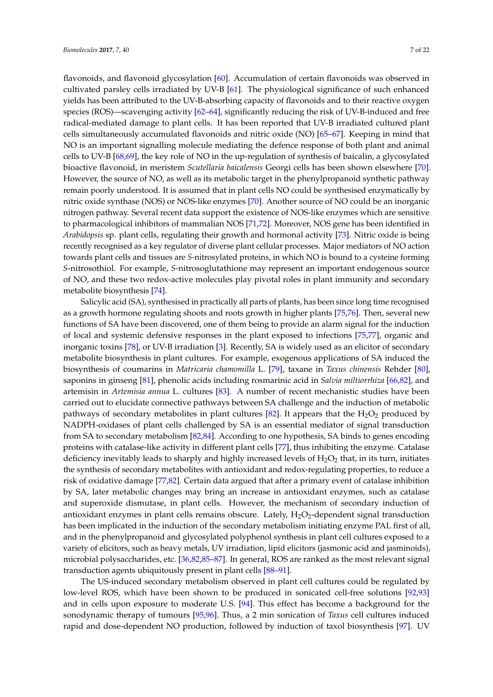flavonoids, and flavonoid glycosylation [\[60\]](#page-16-12). Accumulation of certain flavonoids was observed in cultivated parsley cells irradiated by UV-B [\[61\]](#page-16-13). The physiological significance of such enhanced yields has been attributed to the UV-B-absorbing capacity of flavonoids and to their reactive oxygen species (ROS)—scavenging activity [\[62–](#page-16-14)[64\]](#page-16-15), significantly reducing the risk of UV-B-induced and free radical-mediated damage to plant cells. It has been reported that UV-B irradiated cultured plant cells simultaneously accumulated flavonoids and nitric oxide (NO) [\[65](#page-16-16)[–67\]](#page-17-0). Keeping in mind that NO is an important signalling molecule mediating the defence response of both plant and animal cells to UV-B [\[68](#page-17-1)[,69\]](#page-17-2), the key role of NO in the up-regulation of synthesis of baicalin, a glycosylated bioactive flavonoid, in meristem *Scutellaria baicalensis* Georgi cells has been shown elsewhere [\[70\]](#page-17-3). However, the source of NO, as well as its metabolic target in the phenylpropanoid synthetic pathway remain poorly understood. It is assumed that in plant cells NO could be synthesised enzymatically by nitric oxide synthase (NOS) or NOS-like enzymes [\[70\]](#page-17-3). Another source of NO could be an inorganic nitrogen pathway. Several recent data support the existence of NOS-like enzymes which are sensitive to pharmacological inhibitors of mammalian NOS [\[71,](#page-17-4)[72\]](#page-17-5). Moreover, NOS gene has been identified in *Arabidopsis* sp. plant cells, regulating their growth and hormonal activity [\[73\]](#page-17-6). Nitric oxide is being recently recognised as a key regulator of diverse plant cellular processes. Major mediators of NO action towards plant cells and tissues are *S*-nitrosylated proteins, in which NO is bound to a cysteine forming *S*-nitrosothiol. For example, *S*-nitrosoglutathione may represent an important endogenous source of NO, and these two redox-active molecules play pivotal roles in plant immunity and secondary metabolite biosynthesis [\[74\]](#page-17-7).

Salicylic acid (SA), synthesised in practically all parts of plants, has been since long time recognised as a growth hormone regulating shoots and roots growth in higher plants [\[75](#page-17-8)[,76\]](#page-17-9). Then, several new functions of SA have been discovered, one of them being to provide an alarm signal for the induction of local and systemic defensive responses in the plant exposed to infections [\[75,](#page-17-8)[77\]](#page-17-10), organic and inorganic toxins [\[78\]](#page-17-11), or UV-B irradiation [\[3\]](#page-14-0). Recently, SA is widely used as an elicitor of secondary metabolite biosynthesis in plant cultures. For example, exogenous applications of SA induced the biosynthesis of coumarins in *Matricaria chamomilla* L. [\[79\]](#page-17-12), taxane in *Taxus chinensis* Rehder [\[80\]](#page-17-13), saponins in ginseng [\[81\]](#page-17-14), phenolic acids including rosmarinic acid in *Salvia miltiorrhiza* [\[66](#page-17-15)[,82\]](#page-17-16), and artemisin in *Artemisia annua* L. cultures [\[83\]](#page-17-17). A number of recent mechanistic studies have been carried out to elucidate connective pathways between SA challenge and the induction of metabolic pathways of secondary metabolites in plant cultures [\[82\]](#page-17-16). It appears that the  $H_2O_2$  produced by NADPH-oxidases of plant cells challenged by SA is an essential mediator of signal transduction from SA to secondary metabolism [\[82](#page-17-16)[,84\]](#page-17-18). According to one hypothesis, SA binds to genes encoding proteins with catalase-like activity in different plant cells [\[77\]](#page-17-10), thus inhibiting the enzyme. Catalase deficiency inevitably leads to sharply and highly increased levels of  $H_2O_2$  that, in its turn, initiates the synthesis of secondary metabolites with antioxidant and redox-regulating properties, to reduce a risk of oxidative damage [\[77,](#page-17-10)[82\]](#page-17-16). Certain data argued that after a primary event of catalase inhibition by SA, later metabolic changes may bring an increase in antioxidant enzymes, such as catalase and superoxide dismutase, in plant cells. However, the mechanism of secondary induction of antioxidant enzymes in plant cells remains obscure. Lately,  $H_2O_2$ -dependent signal transduction has been implicated in the induction of the secondary metabolism initiating enzyme PAL first of all, and in the phenylpropanoid and glycosylated polyphenol synthesis in plant cell cultures exposed to a variety of elicitors, such as heavy metals, UV irradiation, lipid elicitors (jasmonic acid and jasminoids), microbial polysaccharides, etc. [\[36](#page-15-8)[,82](#page-17-16)[,85–](#page-17-19)[87\]](#page-17-20). In general, ROS are ranked as the most relevant signal transduction agents ubiquitously present in plant cells [\[88–](#page-18-0)[91\]](#page-18-1).

The US-induced secondary metabolism observed in plant cell cultures could be regulated by low-level ROS, which have been shown to be produced in sonicated cell-free solutions [\[92](#page-18-2)[,93\]](#page-18-3) and in cells upon exposure to moderate U.S. [\[94\]](#page-18-4). This effect has become a background for the sonodynamic therapy of tumours [\[95,](#page-18-5)[96\]](#page-18-6). Thus, a 2 min sonication of *Taxus* cell cultures induced rapid and dose-dependent NO production, followed by induction of taxol biosynthesis [\[97\]](#page-18-7). UV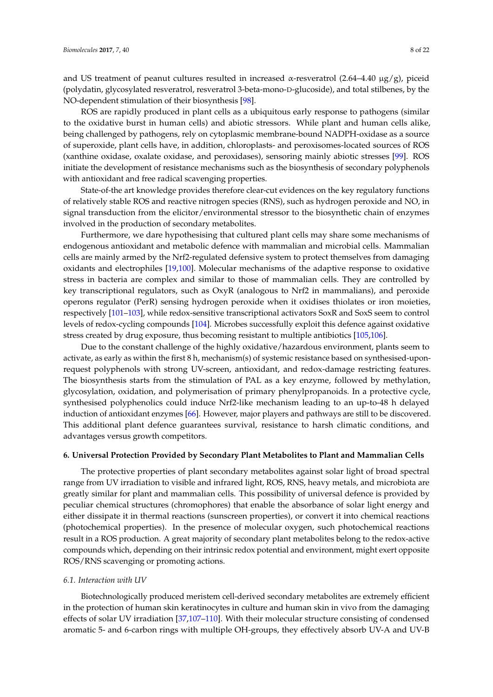and US treatment of peanut cultures resulted in increased α-resveratrol (2.64–4.40  $\mu$ g/g), piceid (polydatin, glycosylated resveratrol, resveratrol 3-beta-mono-D-glucoside), and total stilbenes, by the NO-dependent stimulation of their biosynthesis [\[98\]](#page-18-8).

ROS are rapidly produced in plant cells as a ubiquitous early response to pathogens (similar to the oxidative burst in human cells) and abiotic stressors. While plant and human cells alike, being challenged by pathogens, rely on cytoplasmic membrane-bound NADPH-oxidase as a source of superoxide, plant cells have, in addition, chloroplasts- and peroxisomes-located sources of ROS (xanthine oxidase, oxalate oxidase, and peroxidases), sensoring mainly abiotic stresses [\[99\]](#page-18-9). ROS initiate the development of resistance mechanisms such as the biosynthesis of secondary polyphenols with antioxidant and free radical scavenging properties.

State-of-the art knowledge provides therefore clear-cut evidences on the key regulatory functions of relatively stable ROS and reactive nitrogen species (RNS), such as hydrogen peroxide and NO, in signal transduction from the elicitor/environmental stressor to the biosynthetic chain of enzymes involved in the production of secondary metabolites.

Furthermore, we dare hypothesising that cultured plant cells may share some mechanisms of endogenous antioxidant and metabolic defence with mammalian and microbial cells. Mammalian cells are mainly armed by the Nrf2-regulated defensive system to protect themselves from damaging oxidants and electrophiles [\[19,](#page-14-12)[100\]](#page-18-10). Molecular mechanisms of the adaptive response to oxidative stress in bacteria are complex and similar to those of mammalian cells. They are controlled by key transcriptional regulators, such as OxyR (analogous to Nrf2 in mammalians), and peroxide operons regulator (PerR) sensing hydrogen peroxide when it oxidises thiolates or iron moieties, respectively [\[101–](#page-18-11)[103\]](#page-18-12), while redox-sensitive transcriptional activators SoxR and SoxS seem to control levels of redox-cycling compounds [\[104\]](#page-18-13). Microbes successfully exploit this defence against oxidative stress created by drug exposure, thus becoming resistant to multiple antibiotics [\[105,](#page-18-14)[106\]](#page-18-15).

Due to the constant challenge of the highly oxidative/hazardous environment, plants seem to activate, as early as within the first 8 h, mechanism(s) of systemic resistance based on synthesised-uponrequest polyphenols with strong UV-screen, antioxidant, and redox-damage restricting features. The biosynthesis starts from the stimulation of PAL as a key enzyme, followed by methylation, glycosylation, oxidation, and polymerisation of primary phenylpropanoids. In a protective cycle, synthesised polyphenolics could induce Nrf2-like mechanism leading to an up-to-48 h delayed induction of antioxidant enzymes [\[66\]](#page-17-15). However, major players and pathways are still to be discovered. This additional plant defence guarantees survival, resistance to harsh climatic conditions, and advantages versus growth competitors.

#### **6. Universal Protection Provided by Secondary Plant Metabolites to Plant and Mammalian Cells**

The protective properties of plant secondary metabolites against solar light of broad spectral range from UV irradiation to visible and infrared light, ROS, RNS, heavy metals, and microbiota are greatly similar for plant and mammalian cells. This possibility of universal defence is provided by peculiar chemical structures (chromophores) that enable the absorbance of solar light energy and either dissipate it in thermal reactions (sunscreen properties), or convert it into chemical reactions (photochemical properties). In the presence of molecular oxygen, such photochemical reactions result in a ROS production. A great majority of secondary plant metabolites belong to the redox-active compounds which, depending on their intrinsic redox potential and environment, might exert opposite ROS/RNS scavenging or promoting actions.

#### *6.1. Interaction with UV*

Biotechnologically produced meristem cell-derived secondary metabolites are extremely efficient in the protection of human skin keratinocytes in culture and human skin in vivo from the damaging effects of solar UV irradiation [\[37](#page-15-9)[,107–](#page-18-16)[110\]](#page-19-0). With their molecular structure consisting of condensed aromatic 5- and 6-carbon rings with multiple OH-groups, they effectively absorb UV-A and UV-B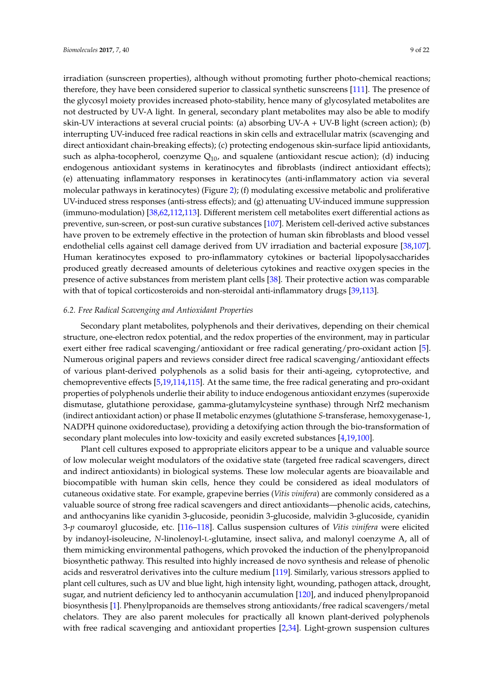irradiation (sunscreen properties), although without promoting further photo-chemical reactions; therefore, they have been considered superior to classical synthetic sunscreens [\[111\]](#page-19-1). The presence of the glycosyl moiety provides increased photo-stability, hence many of glycosylated metabolites are not destructed by UV-A light. In general, secondary plant metabolites may also be able to modify skin-UV interactions at several crucial points: (a) absorbing UV-A + UV-B light (screen action); (b) interrupting UV-induced free radical reactions in skin cells and extracellular matrix (scavenging and direct antioxidant chain-breaking effects); (c) protecting endogenous skin-surface lipid antioxidants, such as alpha-tocopherol, coenzyme  $Q_{10}$ , and squalene (antioxidant rescue action); (d) inducing endogenous antioxidant systems in keratinocytes and fibroblasts (indirect antioxidant effects); (e) attenuating inflammatory responses in keratinocytes (anti-inflammatory action via several molecular pathways in keratinocytes) (Figure [2\)](#page-3-0); (f) modulating excessive metabolic and proliferative UV-induced stress responses (anti-stress effects); and (g) attenuating UV-induced immune suppression (immuno-modulation) [\[38](#page-15-18)[,62](#page-16-14)[,112](#page-19-2)[,113\]](#page-19-3). Different meristem cell metabolites exert differential actions as preventive, sun-screen, or post-sun curative substances [\[107\]](#page-18-16). Meristem cell-derived active substances have proven to be extremely effective in the protection of human skin fibroblasts and blood vessel endothelial cells against cell damage derived from UV irradiation and bacterial exposure [\[38,](#page-15-18)[107\]](#page-18-16). Human keratinocytes exposed to pro-inflammatory cytokines or bacterial lipopolysaccharides produced greatly decreased amounts of deleterious cytokines and reactive oxygen species in the presence of active substances from meristem plant cells [\[38\]](#page-15-18). Their protective action was comparable with that of topical corticosteroids and non-steroidal anti-inflammatory drugs [\[39](#page-15-10)[,113\]](#page-19-3).

#### *6.2. Free Radical Scavenging and Antioxidant Properties*

Secondary plant metabolites, polyphenols and their derivatives, depending on their chemical structure, one-electron redox potential, and the redox properties of the environment, may in particular exert either free radical scavenging/antioxidant or free radical generating/pro-oxidant action [\[5\]](#page-14-2). Numerous original papers and reviews consider direct free radical scavenging/antioxidant effects of various plant-derived polyphenols as a solid basis for their anti-ageing, cytoprotective, and chemopreventive effects [\[5](#page-14-2)[,19](#page-14-12)[,114](#page-19-4)[,115\]](#page-19-5). At the same time, the free radical generating and pro-oxidant properties of polyphenols underlie their ability to induce endogenous antioxidant enzymes (superoxide dismutase, glutathione peroxidase, gamma-glutamylcysteine synthase) through Nrf2 mechanism (indirect antioxidant action) or phase II metabolic enzymes (glutathione *S*-transferase, hemoxygenase-1, NADPH quinone oxidoreductase), providing a detoxifying action through the bio-transformation of secondary plant molecules into low-toxicity and easily excreted substances [\[4](#page-14-1)[,19](#page-14-12)[,100\]](#page-18-10).

Plant cell cultures exposed to appropriate elicitors appear to be a unique and valuable source of low molecular weight modulators of the oxidative state (targeted free radical scavengers, direct and indirect antioxidants) in biological systems. These low molecular agents are bioavailable and biocompatible with human skin cells, hence they could be considered as ideal modulators of cutaneous oxidative state. For example, grapevine berries (*Vitis vinifera*) are commonly considered as a valuable source of strong free radical scavengers and direct antioxidants—phenolic acids, catechins, and anthocyanins like cyanidin 3-glucoside, peonidin 3-glucoside, malvidin 3-glucoside, cyanidin 3-*p* coumaroyl glucoside, etc. [\[116–](#page-19-6)[118\]](#page-19-7). Callus suspension cultures of *Vitis vinifera* were elicited by indanoyl-isoleucine, *N*-linolenoyl-L-glutamine, insect saliva, and malonyl coenzyme A, all of them mimicking environmental pathogens, which provoked the induction of the phenylpropanoid biosynthetic pathway. This resulted into highly increased de novo synthesis and release of phenolic acids and resveratrol derivatives into the culture medium [\[119\]](#page-19-8). Similarly, various stressors applied to plant cell cultures, such as UV and blue light, high intensity light, wounding, pathogen attack, drought, sugar, and nutrient deficiency led to anthocyanin accumulation [\[120\]](#page-19-9), and induced phenylpropanoid biosynthesis [\[1\]](#page-13-0). Phenylpropanoids are themselves strong antioxidants/free radical scavengers/metal chelators. They are also parent molecules for practically all known plant-derived polyphenols with free radical scavenging and antioxidant properties [\[2](#page-13-1)[,34\]](#page-15-6). Light-grown suspension cultures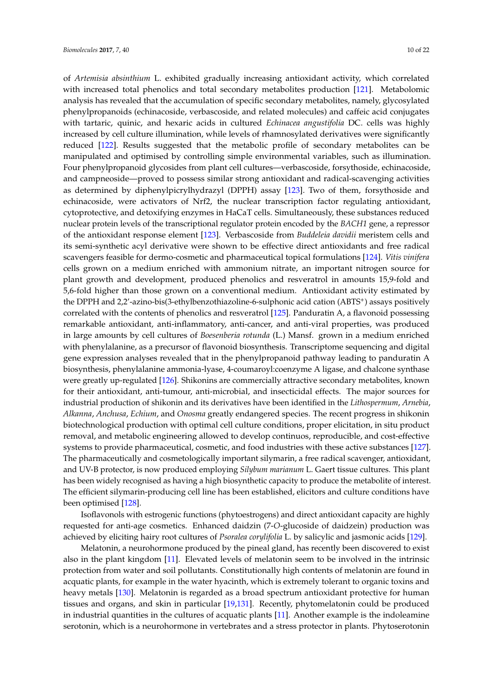of *Artemisia absinthium* L. exhibited gradually increasing antioxidant activity, which correlated with increased total phenolics and total secondary metabolites production [\[121\]](#page-19-10). Metabolomic analysis has revealed that the accumulation of specific secondary metabolites, namely, glycosylated phenylpropanoids (echinacoside, verbascoside, and related molecules) and caffeic acid conjugates with tartaric, quinic, and hexaric acids in cultured *Echinacea angustifolia* DC. cells was highly increased by cell culture illumination, while levels of rhamnosylated derivatives were significantly reduced [\[122\]](#page-19-11). Results suggested that the metabolic profile of secondary metabolites can be manipulated and optimised by controlling simple environmental variables, such as illumination. Four phenylpropanoid glycosides from plant cell cultures—verbascoside, forsythoside, echinacoside, and campneoside—proved to possess similar strong antioxidant and radical-scavenging activities as determined by diphenylpicrylhydrazyl (DPPH) assay [\[123\]](#page-19-12). Two of them, forsythoside and echinacoside, were activators of Nrf2, the nuclear transcription factor regulating antioxidant, cytoprotective, and detoxifying enzymes in HaCaT cells. Simultaneously, these substances reduced nuclear protein levels of the transcriptional regulator protein encoded by the *BACH1* gene, a repressor of the antioxidant response element [\[123\]](#page-19-12). Verbascoside from *Buddeleia davidii* meristem cells and its semi-synthetic acyl derivative were shown to be effective direct antioxidants and free radical scavengers feasible for dermo-cosmetic and pharmaceutical topical formulations [\[124\]](#page-19-13). *Vitis vinifera* cells grown on a medium enriched with ammonium nitrate, an important nitrogen source for plant growth and development, produced phenolics and resveratrol in amounts 15,9-fold and 5,6-fold higher than those grown on a conventional medium. Antioxidant activity estimated by the DPPH and 2,2'-azino-bis(3-ethylbenzothiazoline-6-sulphonic acid cation (ABTS<sup>+</sup>) assays positively correlated with the contents of phenolics and resveratrol [\[125\]](#page-19-14). Panduratin A, a flavonoid possessing remarkable antioxidant, anti-inflammatory, anti-cancer, and anti-viral properties, was produced in large amounts by cell cultures of *Boesenberia rotunda* (L.) Mansf. grown in a medium enriched with phenylalanine, as a precursor of flavonoid biosynthesis. Transcriptome sequencing and digital gene expression analyses revealed that in the phenylpropanoid pathway leading to panduratin A biosynthesis, phenylalanine ammonia-lyase, 4-coumaroyl:coenzyme A ligase, and chalcone synthase were greatly up-regulated [\[126\]](#page-19-15). Shikonins are commercially attractive secondary metabolites, known for their antioxidant, anti-tumour, anti-microbial, and insecticidal effects. The major sources for industrial production of shikonin and its derivatives have been identified in the *Lithospermum*, *Arnebia*, *Alkanna*, *Anchusa*, *Echium*, and *Onosma* greatly endangered species. The recent progress in shikonin biotechnological production with optimal cell culture conditions, proper elicitation, in situ product removal, and metabolic engineering allowed to develop continuos, reproducible, and cost-effective systems to provide pharmaceutical, cosmetic, and food industries with these active substances [\[127\]](#page-20-0). The pharmaceutically and cosmetologically important silymarin, a free radical scavenger, antioxidant, and UV-B protector, is now produced employing *Silybum marianum* L. Gaert tissue cultures. This plant has been widely recognised as having a high biosynthetic capacity to produce the metabolite of interest. The efficient silymarin-producing cell line has been established, elicitors and culture conditions have been optimised [\[128\]](#page-20-1).

Isoflavonols with estrogenic functions (phytoestrogens) and direct antioxidant capacity are highly requested for anti-age cosmetics. Enhanced daidzin (7-*O*-glucoside of daidzein) production was achieved by eliciting hairy root cultures of *Psoralea corylifolia* L. by salicylic and jasmonic acids [\[129\]](#page-20-2).

Melatonin, a neurohormone produced by the pineal gland, has recently been discovered to exist also in the plant kingdom [\[11\]](#page-14-8). Elevated levels of melatonin seem to be involved in the intrinsic protection from water and soil pollutants. Constitutionally high contents of melatonin are found in acquatic plants, for example in the water hyacinth, which is extremely tolerant to organic toxins and heavy metals [\[130\]](#page-20-3). Melatonin is regarded as a broad spectrum antioxidant protective for human tissues and organs, and skin in particular [\[19,](#page-14-12)[131\]](#page-20-4). Recently, phytomelatonin could be produced in industrial quantities in the cultures of acquatic plants [\[11\]](#page-14-8). Another example is the indoleamine serotonin, which is a neurohormone in vertebrates and a stress protector in plants. Phytoserotonin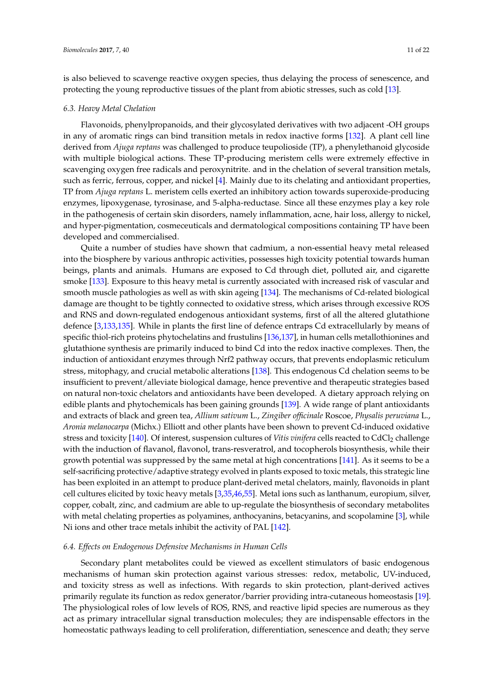is also believed to scavenge reactive oxygen species, thus delaying the process of senescence, and protecting the young reproductive tissues of the plant from abiotic stresses, such as cold [\[13\]](#page-14-18).

#### *6.3. Heavy Metal Chelation*

Flavonoids, phenylpropanoids, and their glycosylated derivatives with two adjacent -OH groups in any of aromatic rings can bind transition metals in redox inactive forms [\[132\]](#page-20-5). A plant cell line derived from *Ajuga reptans* was challenged to produce teupolioside (TP), a phenylethanoid glycoside with multiple biological actions. These TP-producing meristem cells were extremely effective in scavenging oxygen free radicals and peroxynitrite. and in the chelation of several transition metals, such as ferric, ferrous, copper, and nickel [\[4\]](#page-14-1). Mainly due to its chelating and antioxidant properties, TP from *Ajuga reptans* L. meristem cells exerted an inhibitory action towards superoxide-producing enzymes, lipoxygenase, tyrosinase, and 5-alpha-reductase. Since all these enzymes play a key role in the pathogenesis of certain skin disorders, namely inflammation, acne, hair loss, allergy to nickel, and hyper-pigmentation, cosmeceuticals and dermatological compositions containing TP have been developed and commercialised.

Quite a number of studies have shown that cadmium, a non-essential heavy metal released into the biosphere by various anthropic activities, possesses high toxicity potential towards human beings, plants and animals. Humans are exposed to Cd through diet, polluted air, and cigarette smoke [\[133\]](#page-20-6). Exposure to this heavy metal is currently associated with increased risk of vascular and smooth muscle pathologies as well as with skin ageing [\[134\]](#page-20-7). The mechanisms of Cd-related biological damage are thought to be tightly connected to oxidative stress, which arises through excessive ROS and RNS and down-regulated endogenous antioxidant systems, first of all the altered glutathione defence [\[3](#page-14-0)[,133,](#page-20-6)[135\]](#page-20-8). While in plants the first line of defence entraps Cd extracellularly by means of specific thiol-rich proteins phytochelatins and frustulins [\[136](#page-20-9)[,137\]](#page-20-10), in human cells metallothionines and glutathione synthesis are primarily induced to bind Cd into the redox inactive complexes. Then, the induction of antioxidant enzymes through Nrf2 pathway occurs, that prevents endoplasmic reticulum stress, mitophagy, and crucial metabolic alterations [\[138\]](#page-20-11). This endogenous Cd chelation seems to be insufficient to prevent/alleviate biological damage, hence preventive and therapeutic strategies based on natural non-toxic chelators and antioxidants have been developed. A dietary approach relying on edible plants and phytochemicals has been gaining grounds [\[139\]](#page-20-12). A wide range of plant antioxidants and extracts of black and green tea, *Allium sativum* L., *Zingiber officinale* Roscoe, *Physalis peruviana* L., *Aronia melanocarpa* (Michx.) Elliott and other plants have been shown to prevent Cd-induced oxidative stress and toxicity [\[140\]](#page-20-13). Of interest, suspension cultures of *Vitis vinifera* cells reacted to CdCl<sub>2</sub> challenge with the induction of flavanol, flavonol, trans-resveratrol, and tocopherols biosynthesis, while their growth potential was suppressed by the same metal at high concentrations [\[141\]](#page-20-14). As it seems to be a self-sacrificing protective/adaptive strategy evolved in plants exposed to toxic metals, this strategic line has been exploited in an attempt to produce plant-derived metal chelators, mainly, flavonoids in plant cell cultures elicited by toxic heavy metals [\[3,](#page-14-0)[35,](#page-15-7)[46](#page-15-17)[,55\]](#page-16-7). Metal ions such as lanthanum, europium, silver, copper, cobalt, zinc, and cadmium are able to up-regulate the biosynthesis of secondary metabolites with metal chelating properties as polyamines, anthocyanins, betacyanins, and scopolamine [\[3\]](#page-14-0), while Ni ions and other trace metals inhibit the activity of PAL [\[142\]](#page-20-15).

#### *6.4. Effects on Endogenous Defensive Mechanisms in Human Cells*

Secondary plant metabolites could be viewed as excellent stimulators of basic endogenous mechanisms of human skin protection against various stresses: redox, metabolic, UV-induced, and toxicity stress as well as infections. With regards to skin protection, plant-derived actives primarily regulate its function as redox generator/barrier providing intra-cutaneous homeostasis [\[19\]](#page-14-12). The physiological roles of low levels of ROS, RNS, and reactive lipid species are numerous as they act as primary intracellular signal transduction molecules; they are indispensable effectors in the homeostatic pathways leading to cell proliferation, differentiation, senescence and death; they serve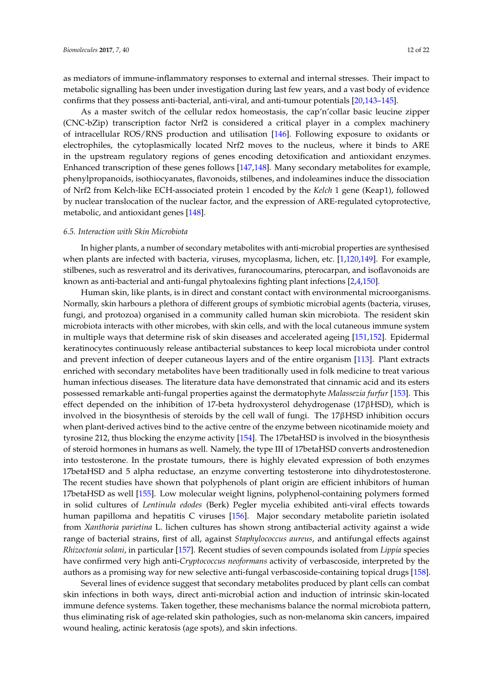as mediators of immune-inflammatory responses to external and internal stresses. Their impact to metabolic signalling has been under investigation during last few years, and a vast body of evidence confirms that they possess anti-bacterial, anti-viral, and anti-tumour potentials [\[20,](#page-14-19)[143–](#page-20-16)[145\]](#page-20-17).

As a master switch of the cellular redox homeostasis, the cap'n'collar basic leucine zipper (CNC-bZip) transcription factor Nrf2 is considered a critical player in a complex machinery of intracellular ROS/RNS production and utilisation [\[146\]](#page-20-18). Following exposure to oxidants or electrophiles, the cytoplasmically located Nrf2 moves to the nucleus, where it binds to ARE in the upstream regulatory regions of genes encoding detoxification and antioxidant enzymes. Enhanced transcription of these genes follows [\[147](#page-20-19)[,148\]](#page-20-20). Many secondary metabolites for example, phenylpropanoids, isothiocyanates, flavonoids, stilbenes, and indoleamines induce the dissociation of Nrf2 from Kelch-like ECH-associated protein 1 encoded by the *Kelch* 1 gene (Keap1), followed by nuclear translocation of the nuclear factor, and the expression of ARE-regulated cytoprotective, metabolic, and antioxidant genes [\[148\]](#page-20-20).

#### *6.5. Interaction with Skin Microbiota*

In higher plants, a number of secondary metabolites with anti-microbial properties are synthesised when plants are infected with bacteria, viruses, mycoplasma, lichen, etc. [\[1,](#page-13-0)[120,](#page-19-9)[149\]](#page-20-21). For example, stilbenes, such as resveratrol and its derivatives, furanocoumarins, pterocarpan, and isoflavonoids are known as anti-bacterial and anti-fungal phytoalexins fighting plant infections [\[2,](#page-13-1)[4,](#page-14-1)[150\]](#page-20-22).

Human skin, like plants, is in direct and constant contact with environmental microorganisms. Normally, skin harbours a plethora of different groups of symbiotic microbial agents (bacteria, viruses, fungi, and protozoa) organised in a community called human skin microbiota. The resident skin microbiota interacts with other microbes, with skin cells, and with the local cutaneous immune system in multiple ways that determine risk of skin diseases and accelerated ageing [\[151,](#page-21-0)[152\]](#page-21-1). Epidermal keratinocytes continuously release antibacterial substances to keep local microbiota under control and prevent infection of deeper cutaneous layers and of the entire organism [\[113\]](#page-19-3). Plant extracts enriched with secondary metabolites have been traditionally used in folk medicine to treat various human infectious diseases. The literature data have demonstrated that cinnamic acid and its esters possessed remarkable anti-fungal properties against the dermatophyte *Malassezia furfur* [\[153\]](#page-21-2). This effect depended on the inhibition of 17-beta hydroxysterol dehydrogenase (17 $\beta$ HSD), which is involved in the biosynthesis of steroids by the cell wall of fungi. The 17βHSD inhibition occurs when plant-derived actives bind to the active centre of the enzyme between nicotinamide moiety and tyrosine 212, thus blocking the enzyme activity [\[154\]](#page-21-3). The 17betaHSD is involved in the biosynthesis of steroid hormones in humans as well. Namely, the type III of 17betaHSD converts androstenedion into testosterone. In the prostate tumours, there is highly elevated expression of both enzymes 17betaHSD and 5 alpha reductase, an enzyme converting testosterone into dihydrotestosterone. The recent studies have shown that polyphenols of plant origin are efficient inhibitors of human 17betaHSD as well [\[155\]](#page-21-4). Low molecular weight lignins, polyphenol-containing polymers formed in solid cultures of *Lentinula edodes* (Berk) Pegler mycelia exhibited anti-viral effects towards human papilloma and hepatitis C viruses [\[156\]](#page-21-5). Major secondary metabolite parietin isolated from *Xanthoria parietina* L. lichen cultures has shown strong antibacterial activity against a wide range of bacterial strains, first of all, against *Staphylococcus aureus*, and antifungal effects against *Rhizoctonia solani*, in particular [\[157\]](#page-21-6). Recent studies of seven compounds isolated from *Lippia* species have confirmed very high anti-*Cryptococcus neoformans* activity of verbascoside, interpreted by the authors as a promising way for new selective anti-fungal verbascoside-containing topical drugs [\[158\]](#page-21-7).

Several lines of evidence suggest that secondary metabolites produced by plant cells can combat skin infections in both ways, direct anti-microbial action and induction of intrinsic skin-located immune defence systems. Taken together, these mechanisms balance the normal microbiota pattern, thus eliminating risk of age-related skin pathologies, such as non-melanoma skin cancers, impaired wound healing, actinic keratosis (age spots), and skin infections.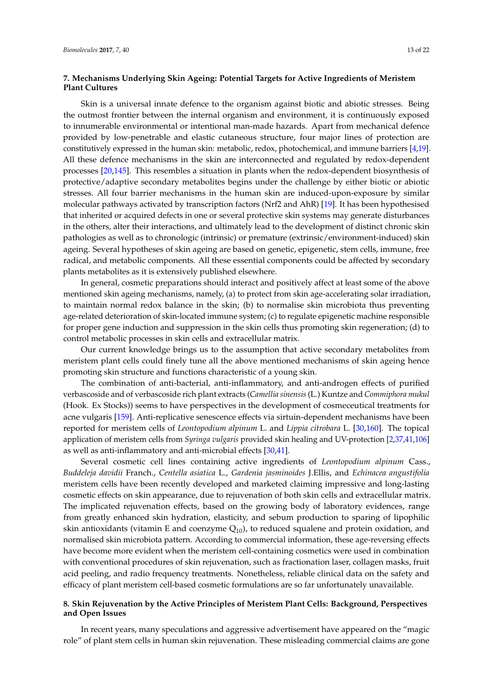# **7. Mechanisms Underlying Skin Ageing: Potential Targets for Active Ingredients of Meristem Plant Cultures**

Skin is a universal innate defence to the organism against biotic and abiotic stresses. Being the outmost frontier between the internal organism and environment, it is continuously exposed to innumerable environmental or intentional man-made hazards. Apart from mechanical defence provided by low-penetrable and elastic cutaneous structure, four major lines of protection are constitutively expressed in the human skin: metabolic, redox, photochemical, and immune barriers [\[4,](#page-14-1)[19\]](#page-14-12). All these defence mechanisms in the skin are interconnected and regulated by redox-dependent processes [\[20,](#page-14-19)[145\]](#page-20-17). This resembles a situation in plants when the redox-dependent biosynthesis of protective/adaptive secondary metabolites begins under the challenge by either biotic or abiotic stresses. All four barrier mechanisms in the human skin are induced-upon-exposure by similar molecular pathways activated by transcription factors (Nrf2 and AhR) [\[19\]](#page-14-12). It has been hypothesised that inherited or acquired defects in one or several protective skin systems may generate disturbances in the others, alter their interactions, and ultimately lead to the development of distinct chronic skin pathologies as well as to chronologic (intrinsic) or premature (extrinsic/environment-induced) skin ageing. Several hypotheses of skin ageing are based on genetic, epigenetic, stem cells, immune, free radical, and metabolic components. All these essential components could be affected by secondary plants metabolites as it is extensively published elsewhere.

In general, cosmetic preparations should interact and positively affect at least some of the above mentioned skin ageing mechanisms, namely, (a) to protect from skin age-accelerating solar irradiation, to maintain normal redox balance in the skin; (b) to normalise skin microbiota thus preventing age-related deterioration of skin-located immune system; (c) to regulate epigenetic machine responsible for proper gene induction and suppression in the skin cells thus promoting skin regeneration; (d) to control metabolic processes in skin cells and extracellular matrix.

Our current knowledge brings us to the assumption that active secondary metabolites from meristem plant cells could finely tune all the above mentioned mechanisms of skin ageing hence promoting skin structure and functions characteristic of a young skin.

The combination of anti-bacterial, anti-inflammatory, and anti-androgen effects of purified verbascoside and of verbascoside rich plant extracts (*Camellia sinensis*(L.) Kuntze and *Commiphora mukul* (Hook. Ex Stocks)) seems to have perspectives in the development of cosmeceutical treatments for acne vulgaris [\[159\]](#page-21-8). Anti-replicative senescence effects via sirtuin-dependent mechanisms have been reported for meristem cells of *Leontopodium alpinum* L. and *Lippia citrobara* L. [\[30](#page-15-4)[,160\]](#page-21-9). The topical application of meristem cells from *Syringa vulgaris* provided skin healing and UV-protection [\[2,](#page-13-1)[37,](#page-15-9)[41,](#page-15-12)[106\]](#page-18-15) as well as anti-inflammatory and anti-microbial effects [\[30](#page-15-4)[,41\]](#page-15-12).

Several cosmetic cell lines containing active ingredients of *Leontopodium alpinum* Cass., *Buddeleja davidii* Franch., *Centella asiatica* L., *Gardenia jasminoides* J.Ellis, and *Echinacea angustifolia* meristem cells have been recently developed and marketed claiming impressive and long-lasting cosmetic effects on skin appearance, due to rejuvenation of both skin cells and extracellular matrix. The implicated rejuvenation effects, based on the growing body of laboratory evidences, range from greatly enhanced skin hydration, elasticity, and sebum production to sparing of lipophilic skin antioxidants (vitamin E and coenzyme  $Q_{10}$ ), to reduced squalene and protein oxidation, and normalised skin microbiota pattern. According to commercial information, these age-reversing effects have become more evident when the meristem cell-containing cosmetics were used in combination with conventional procedures of skin rejuvenation, such as fractionation laser, collagen masks, fruit acid peeling, and radio frequency treatments. Nonetheless, reliable clinical data on the safety and efficacy of plant meristem cell-based cosmetic formulations are so far unfortunately unavailable.

## **8. Skin Rejuvenation by the Active Principles of Meristem Plant Cells: Background, Perspectives and Open Issues**

In recent years, many speculations and aggressive advertisement have appeared on the "magic role" of plant stem cells in human skin rejuvenation. These misleading commercial claims are gone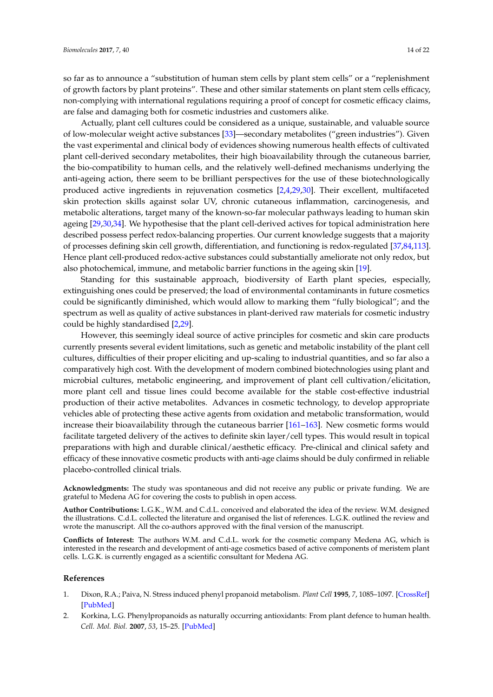so far as to announce a "substitution of human stem cells by plant stem cells" or a "replenishment of growth factors by plant proteins". These and other similar statements on plant stem cells efficacy, non-complying with international regulations requiring a proof of concept for cosmetic efficacy claims, are false and damaging both for cosmetic industries and customers alike.

Actually, plant cell cultures could be considered as a unique, sustainable, and valuable source of low-molecular weight active substances [\[33\]](#page-15-5)—secondary metabolites ("green industries"). Given the vast experimental and clinical body of evidences showing numerous health effects of cultivated plant cell-derived secondary metabolites, their high bioavailability through the cutaneous barrier, the bio-compatibility to human cells, and the relatively well-defined mechanisms underlying the anti-ageing action, there seem to be brilliant perspectives for the use of these biotechnologically produced active ingredients in rejuvenation cosmetics [\[2](#page-13-1)[,4](#page-14-1)[,29](#page-15-19)[,30\]](#page-15-4). Their excellent, multifaceted skin protection skills against solar UV, chronic cutaneous inflammation, carcinogenesis, and metabolic alterations, target many of the known-so-far molecular pathways leading to human skin ageing [\[29](#page-15-19)[,30](#page-15-4)[,34\]](#page-15-6). We hypothesise that the plant cell-derived actives for topical administration here described possess perfect redox-balancing properties. Our current knowledge suggests that a majority of processes defining skin cell growth, differentiation, and functioning is redox-regulated [\[37](#page-15-9)[,84,](#page-17-18)[113\]](#page-19-3). Hence plant cell-produced redox-active substances could substantially ameliorate not only redox, but also photochemical, immune, and metabolic barrier functions in the ageing skin [\[19\]](#page-14-12).

Standing for this sustainable approach, biodiversity of Earth plant species, especially, extinguishing ones could be preserved; the load of environmental contaminants in future cosmetics could be significantly diminished, which would allow to marking them "fully biological"; and the spectrum as well as quality of active substances in plant-derived raw materials for cosmetic industry could be highly standardised [\[2,](#page-13-1)[29\]](#page-15-19).

However, this seemingly ideal source of active principles for cosmetic and skin care products currently presents several evident limitations, such as genetic and metabolic instability of the plant cell cultures, difficulties of their proper eliciting and up-scaling to industrial quantities, and so far also a comparatively high cost. With the development of modern combined biotechnologies using plant and microbial cultures, metabolic engineering, and improvement of plant cell cultivation/elicitation, more plant cell and tissue lines could become available for the stable cost-effective industrial production of their active metabolites. Advances in cosmetic technology, to develop appropriate vehicles able of protecting these active agents from oxidation and metabolic transformation, would increase their bioavailability through the cutaneous barrier [\[161–](#page-21-10)[163\]](#page-21-11). New cosmetic forms would facilitate targeted delivery of the actives to definite skin layer/cell types. This would result in topical preparations with high and durable clinical/aesthetic efficacy. Pre-clinical and clinical safety and efficacy of these innovative cosmetic products with anti-age claims should be duly confirmed in reliable placebo-controlled clinical trials.

**Acknowledgments:** The study was spontaneous and did not receive any public or private funding. We are grateful to Medena AG for covering the costs to publish in open access.

**Author Contributions:** L.G.K., W.M. and C.d.L. conceived and elaborated the idea of the review. W.M. designed the illustrations. C.d.L. collected the literature and organised the list of references. L.G.K. outlined the review and wrote the manuscript. All the co-authors approved with the final version of the manuscript.

**Conflicts of Interest:** The authors W.M. and C.d.L. work for the cosmetic company Medena AG, which is interested in the research and development of anti-age cosmetics based of active components of meristem plant cells. L.G.K. is currently engaged as a scientific consultant for Medena AG.

#### **References**

- <span id="page-13-0"></span>1. Dixon, R.A.; Paiva, N. Stress induced phenyl propanoid metabolism. *Plant Cell* **1995**, *7*, 1085–1097. [\[CrossRef\]](http://dx.doi.org/10.1105/tpc.7.7.1085) [\[PubMed\]](http://www.ncbi.nlm.nih.gov/pubmed/12242399)
- <span id="page-13-1"></span>2. Korkina, L.G. Phenylpropanoids as naturally occurring antioxidants: From plant defence to human health. *Cell. Mol. Biol.* **2007**, *53*, 15–25. [\[PubMed\]](http://www.ncbi.nlm.nih.gov/pubmed/17519109)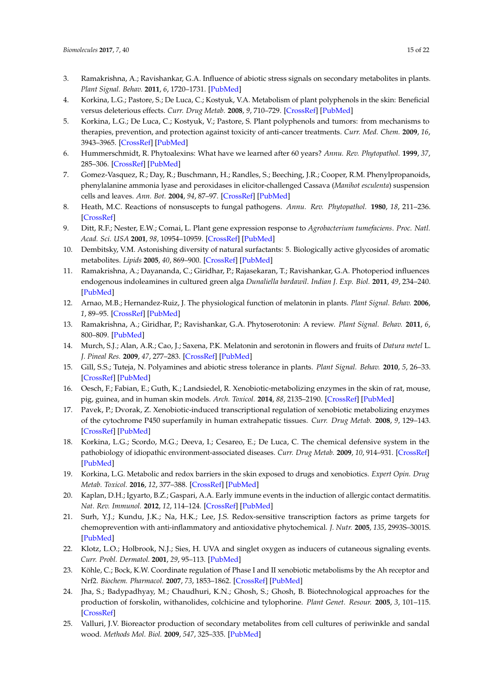- <span id="page-14-0"></span>3. Ramakrishna, A.; Ravishankar, G.A. Influence of abiotic stress signals on secondary metabolites in plants. *Plant Signal. Behav.* **2011**, *6*, 1720–1731. [\[PubMed\]](http://www.ncbi.nlm.nih.gov/pubmed/22041989)
- <span id="page-14-1"></span>4. Korkina, L.G.; Pastore, S.; De Luca, C.; Kostyuk, V.A. Metabolism of plant polyphenols in the skin: Beneficial versus deleterious effects. *Curr. Drug Metab.* **2008**, *9*, 710–729. [\[CrossRef\]](http://dx.doi.org/10.2174/138920008786049267) [\[PubMed\]](http://www.ncbi.nlm.nih.gov/pubmed/18855609)
- <span id="page-14-2"></span>5. Korkina, L.G.; De Luca, C.; Kostyuk, V.; Pastore, S. Plant polyphenols and tumors: from mechanisms to therapies, prevention, and protection against toxicity of anti-cancer treatments. *Curr. Med. Chem.* **2009**, *16*, 3943–3965. [\[CrossRef\]](http://dx.doi.org/10.2174/092986709789352312) [\[PubMed\]](http://www.ncbi.nlm.nih.gov/pubmed/19747130)
- <span id="page-14-3"></span>6. Hummerschmidt, R. Phytoalexins: What have we learned after 60 years? *Annu. Rev. Phytopathol.* **1999**, *37*, 285–306. [\[CrossRef\]](http://dx.doi.org/10.1146/annurev.phyto.37.1.285) [\[PubMed\]](http://www.ncbi.nlm.nih.gov/pubmed/11701825)
- <span id="page-14-4"></span>7. Gomez-Vasquez, R.; Day, R.; Buschmann, H.; Randles, S.; Beeching, J.R.; Cooper, R.M. Phenylpropanoids, phenylalanine ammonia lyase and peroxidases in elicitor-challenged Cassava (*Manihot esculenta*) suspension cells and leaves. *Ann. Bot.* **2004**, *94*, 87–97. [\[CrossRef\]](http://dx.doi.org/10.1093/aob/mch107) [\[PubMed\]](http://www.ncbi.nlm.nih.gov/pubmed/15145789)
- <span id="page-14-5"></span>8. Heath, M.C. Reactions of nonsuscepts to fungal pathogens. *Annu. Rev. Phytopathol.* **1980**, *18*, 211–236. [\[CrossRef\]](http://dx.doi.org/10.1146/annurev.py.18.090180.001235)
- <span id="page-14-6"></span>9. Ditt, R.F.; Nester, E.W.; Comai, L. Plant gene expression response to *Agrobacterium tumefaciens*. *Proc. Natl. Acad. Sci. USA* **2001**, *98*, 10954–10959. [\[CrossRef\]](http://dx.doi.org/10.1073/pnas.191383498) [\[PubMed\]](http://www.ncbi.nlm.nih.gov/pubmed/11535836)
- <span id="page-14-7"></span>10. Dembitsky, V.M. Astonishing diversity of natural surfactants: 5. Biologically active glycosides of aromatic metabolites. *Lipids* **2005**, *40*, 869–900. [\[CrossRef\]](http://dx.doi.org/10.1007/s11745-005-1449-2) [\[PubMed\]](http://www.ncbi.nlm.nih.gov/pubmed/16329462)
- <span id="page-14-8"></span>11. Ramakrishna, A.; Dayananda, C.; Giridhar, P.; Rajasekaran, T.; Ravishankar, G.A. Photoperiod influences endogenous indoleamines in cultured green alga *Dunaliella bardawil*. *Indian J. Exp. Biol.* **2011**, *49*, 234–240. [\[PubMed\]](http://www.ncbi.nlm.nih.gov/pubmed/21452604)
- 12. Arnao, M.B.; Hernandez-Ruiz, J. The physiological function of melatonin in plants. *Plant Signal. Behav.* **2006**, *1*, 89–95. [\[CrossRef\]](http://dx.doi.org/10.4161/psb.1.3.2640) [\[PubMed\]](http://www.ncbi.nlm.nih.gov/pubmed/19521488)
- <span id="page-14-18"></span>13. Ramakrishna, A.; Giridhar, P.; Ravishankar, G.A. Phytoserotonin: A review. *Plant Signal. Behav.* **2011**, *6*, 800–809. [\[PubMed\]](http://www.ncbi.nlm.nih.gov/pubmed/21617371)
- <span id="page-14-9"></span>14. Murch, S.J.; Alan, A.R.; Cao, J.; Saxena, P.K. Melatonin and serotonin in flowers and fruits of *Datura metel* L. *J. Pineal Res.* **2009**, *47*, 277–283. [\[CrossRef\]](http://dx.doi.org/10.1111/j.1600-079X.2009.00711.x) [\[PubMed\]](http://www.ncbi.nlm.nih.gov/pubmed/19732299)
- <span id="page-14-10"></span>15. Gill, S.S.; Tuteja, N. Polyamines and abiotic stress tolerance in plants. *Plant Signal. Behav.* **2010**, *5*, 26–33. [\[CrossRef\]](http://dx.doi.org/10.4161/psb.5.1.10291) [\[PubMed\]](http://www.ncbi.nlm.nih.gov/pubmed/20592804)
- <span id="page-14-11"></span>16. Oesch, F.; Fabian, E.; Guth, K.; Landsiedel, R. Xenobiotic-metabolizing enzymes in the skin of rat, mouse, pig, guinea, and in human skin models. *Arch. Toxicol.* **2014**, *88*, 2135–2190. [\[CrossRef\]](http://dx.doi.org/10.1007/s00204-014-1382-8) [\[PubMed\]](http://www.ncbi.nlm.nih.gov/pubmed/25370008)
- 17. Pavek, P.; Dvorak, Z. Xenobiotic-induced transcriptional regulation of xenobiotic metabolizing enzymes of the cytochrome P450 superfamily in human extrahepatic tissues. *Curr. Drug Metab.* **2008**, *9*, 129–143. [\[CrossRef\]](http://dx.doi.org/10.2174/138920008783571774) [\[PubMed\]](http://www.ncbi.nlm.nih.gov/pubmed/18288955)
- <span id="page-14-13"></span>18. Korkina, L.G.; Scordo, M.G.; Deeva, I.; Cesareo, E.; De Luca, C. The chemical defensive system in the pathobiology of idiopathic environment-associated diseases. *Curr. Drug Metab.* **2009**, *10*, 914–931. [\[CrossRef\]](http://dx.doi.org/10.2174/138920009790274568) [\[PubMed\]](http://www.ncbi.nlm.nih.gov/pubmed/20201826)
- <span id="page-14-12"></span>19. Korkina, L.G. Metabolic and redox barriers in the skin exposed to drugs and xenobiotics. *Expert Opin. Drug Metab. Toxicol.* **2016**, *12*, 377–388. [\[CrossRef\]](http://dx.doi.org/10.1517/17425255.2016.1149569) [\[PubMed\]](http://www.ncbi.nlm.nih.gov/pubmed/26854731)
- <span id="page-14-19"></span>20. Kaplan, D.H.; Igyarto, B.Z.; Gaspari, A.A. Early immune events in the induction of allergic contact dermatitis. *Nat. Rev. Immunol.* **2012**, *12*, 114–124. [\[CrossRef\]](http://dx.doi.org/10.1038/nri3150) [\[PubMed\]](http://www.ncbi.nlm.nih.gov/pubmed/22240625)
- <span id="page-14-15"></span>21. Surh, Y.J.; Kundu, J.K.; Na, H.K.; Lee, J.S. Redox-sensitive transcription factors as prime targets for chemoprevention with anti-inflammatory and antioxidative phytochemical. *J. Nutr.* **2005**, *135*, 2993S–3001S. [\[PubMed\]](http://www.ncbi.nlm.nih.gov/pubmed/16317160)
- 22. Klotz, L.O.; Holbrook, N.J.; Sies, H. UVA and singlet oxygen as inducers of cutaneous signaling events. *Curr. Probl. Dermatol.* **2001**, *29*, 95–113. [\[PubMed\]](http://www.ncbi.nlm.nih.gov/pubmed/11225205)
- <span id="page-14-14"></span>23. Köhle, C.; Bock, K.W. Coordinate regulation of Phase I and II xenobiotic metabolisms by the Ah receptor and Nrf2. *Biochem. Pharmacol.* **2007**, *73*, 1853–1862. [\[CrossRef\]](http://dx.doi.org/10.1016/j.bcp.2007.01.009) [\[PubMed\]](http://www.ncbi.nlm.nih.gov/pubmed/17266942)
- <span id="page-14-16"></span>24. Jha, S.; Badypadhyay, M.; Chaudhuri, K.N.; Ghosh, S.; Ghosh, B. Biotechnological approaches for the production of forskolin, withanolides, colchicine and tylophorine. *Plant Genet. Resour.* **2005**, *3*, 101–115. [\[CrossRef\]](http://dx.doi.org/10.1079/PGR200571)
- <span id="page-14-17"></span>25. Valluri, J.V. Bioreactor production of secondary metabolites from cell cultures of periwinkle and sandal wood. *Methods Mol. Biol.* **2009**, *547*, 325–335. [\[PubMed\]](http://www.ncbi.nlm.nih.gov/pubmed/19521856)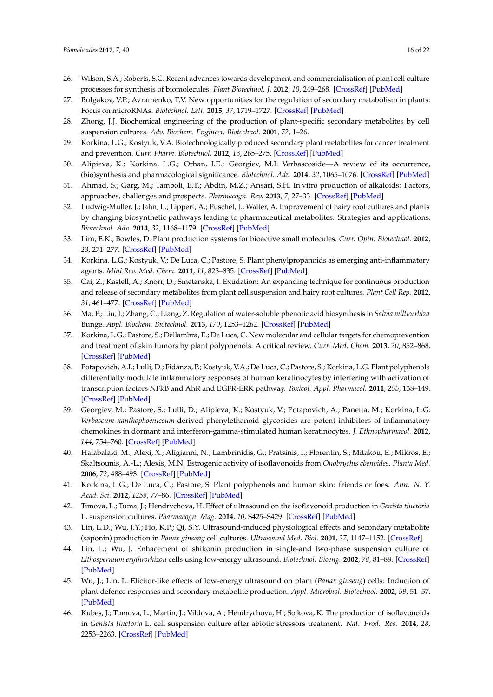- <span id="page-15-0"></span>26. Wilson, S.A.; Roberts, S.C. Recent advances towards development and commercialisation of plant cell culture processes for synthesis of biomolecules. *Plant Biotechnol. J.* **2012**, *10*, 249–268. [\[CrossRef\]](http://dx.doi.org/10.1111/j.1467-7652.2011.00664.x) [\[PubMed\]](http://www.ncbi.nlm.nih.gov/pubmed/22059985)
- <span id="page-15-1"></span>27. Bulgakov, V.P.; Avramenko, T.V. New opportunities for the regulation of secondary metabolism in plants: Focus on microRNAs. *Biotechnol. Lett.* **2015**, *37*, 1719–1727. [\[CrossRef\]](http://dx.doi.org/10.1007/s10529-015-1863-8) [\[PubMed\]](http://www.ncbi.nlm.nih.gov/pubmed/26003096)
- <span id="page-15-2"></span>28. Zhong, J.J. Biochemical engineering of the production of plant-specific secondary metabolites by cell suspension cultures. *Adv. Biochem. Engineer. Biotechnol.* **2001**, *72*, 1–26.
- <span id="page-15-19"></span>29. Korkina, L.G.; Kostyuk, V.A. Biotechnologically produced secondary plant metabolites for cancer treatment and prevention. *Curr. Pharm. Biotechnol.* **2012**, *13*, 265–275. [\[CrossRef\]](http://dx.doi.org/10.2174/138920112798868692) [\[PubMed\]](http://www.ncbi.nlm.nih.gov/pubmed/21466424)
- <span id="page-15-4"></span>30. Alipieva, K.; Korkina, L.G.; Orhan, I.E.; Georgiev, M.I. Verbascoside—A review of its occurrence, (bio)synthesis and pharmacological significance. *Biotechnol. Adv.* **2014**, *32*, 1065–1076. [\[CrossRef\]](http://dx.doi.org/10.1016/j.biotechadv.2014.07.001) [\[PubMed\]](http://www.ncbi.nlm.nih.gov/pubmed/25048704)
- 31. Ahmad, S.; Garg, M.; Tamboli, E.T.; Abdin, M.Z.; Ansari, S.H. In vitro production of alkaloids: Factors, approaches, challenges and prospects. *Pharmacogn. Rev.* **2013**, *7*, 27–33. [\[CrossRef\]](http://dx.doi.org/10.4103/0973-7847.112837) [\[PubMed\]](http://www.ncbi.nlm.nih.gov/pubmed/23922453)
- <span id="page-15-3"></span>32. Ludwig-Muller, J.; Jahn, L.; Lippert, A.; Puschel, J.; Walter, A. Improvement of hairy root cultures and plants by changing biosynthetic pathways leading to pharmaceutical metabolites: Strategies and applications. *Biotechnol. Adv.* **2014**, *32*, 1168–1179. [\[CrossRef\]](http://dx.doi.org/10.1016/j.biotechadv.2014.03.007) [\[PubMed\]](http://www.ncbi.nlm.nih.gov/pubmed/24699436)
- <span id="page-15-5"></span>33. Lim, E.K.; Bowles, D. Plant production systems for bioactive small molecules. *Curr. Opin. Biotechnol.* **2012**, *23*, 271–277. [\[CrossRef\]](http://dx.doi.org/10.1016/j.copbio.2011.12.008) [\[PubMed\]](http://www.ncbi.nlm.nih.gov/pubmed/22221831)
- <span id="page-15-6"></span>34. Korkina, L.G.; Kostyuk, V.; De Luca, C.; Pastore, S. Plant phenylpropanoids as emerging anti-inflammatory agents. *Mini Rev. Med. Chem.* **2011**, *11*, 823–835. [\[CrossRef\]](http://dx.doi.org/10.2174/138955711796575489) [\[PubMed\]](http://www.ncbi.nlm.nih.gov/pubmed/21762105)
- <span id="page-15-7"></span>35. Cai, Z.; Kastell, A.; Knorr, D.; Smetanska, I. Exudation: An expanding technique for continuous production and release of secondary metabolites from plant cell suspension and hairy root cultures. *Plant Cell Rep.* **2012**, *31*, 461–477. [\[CrossRef\]](http://dx.doi.org/10.1007/s00299-011-1165-0) [\[PubMed\]](http://www.ncbi.nlm.nih.gov/pubmed/21987121)
- <span id="page-15-8"></span>36. Ma, P.; Liu, J.; Zhang, C.; Liang, Z. Regulation of water-soluble phenolic acid biosynthesis in *Salvia miltiorrhiza* Bunge. *Appl. Biochem. Biotechnol.* **2013**, *170*, 1253–1262. [\[CrossRef\]](http://dx.doi.org/10.1007/s12010-013-0265-4) [\[PubMed\]](http://www.ncbi.nlm.nih.gov/pubmed/23673485)
- <span id="page-15-9"></span>37. Korkina, L.G.; Pastore, S.; Dellambra, E.; De Luca, C. New molecular and cellular targets for chemoprevention and treatment of skin tumors by plant polyphenols: A critical review. *Curr. Med. Chem.* **2013**, *20*, 852–868. [\[CrossRef\]](http://dx.doi.org/10.2174/0929867311320070002) [\[PubMed\]](http://www.ncbi.nlm.nih.gov/pubmed/23210776)
- <span id="page-15-18"></span>38. Potapovich, A.I.; Lulli, D.; Fidanza, P.; Kostyuk, V.A.; De Luca, C.; Pastore, S.; Korkina, L.G. Plant polyphenols differentially modulate inflammatory responses of human keratinocytes by interfering with activation of transcription factors NFkB and AhR and EGFR-ERK pathway. *Toxicol. Appl. Pharmacol.* **2011**, *255*, 138–149. [\[CrossRef\]](http://dx.doi.org/10.1016/j.taap.2011.06.007) [\[PubMed\]](http://www.ncbi.nlm.nih.gov/pubmed/21756928)
- <span id="page-15-10"></span>39. Georgiev, M.; Pastore, S.; Lulli, D.; Alipieva, K.; Kostyuk, V.; Potapovich, A.; Panetta, M.; Korkina, L.G. *Verbascum xanthophoeniceum*-derived phenylethanoid glycosides are potent inhibitors of inflammatory chemokines in dormant and interferon-gamma-stimulated human keratinocytes. *J. Ethnopharmacol.* **2012**, *144*, 754–760. [\[CrossRef\]](http://dx.doi.org/10.1016/j.jep.2012.10.035) [\[PubMed\]](http://www.ncbi.nlm.nih.gov/pubmed/23117092)
- <span id="page-15-11"></span>40. Halabalaki, M.; Alexi, X.; Aligianni, N.; Lambrinidis, G.; Pratsinis, I.; Florentin, S.; Mitakou, E.; Mikros, E.; Skaltsounis, A.-L.; Alexis, M.N. Estrogenic activity of isoflavonoids from *Onobrychis ebenoides*. *Planta Med.* **2006**, *72*, 488–493. [\[CrossRef\]](http://dx.doi.org/10.1055/s-2005-916261) [\[PubMed\]](http://www.ncbi.nlm.nih.gov/pubmed/16773531)
- <span id="page-15-12"></span>41. Korkina, L.G.; De Luca, C.; Pastore, S. Plant polyphenols and human skin: friends or foes. *Ann. N. Y. Acad. Sci.* **2012**, *1259*, 77–86. [\[CrossRef\]](http://dx.doi.org/10.1111/j.1749-6632.2012.06510.x) [\[PubMed\]](http://www.ncbi.nlm.nih.gov/pubmed/22758639)
- <span id="page-15-13"></span>42. Timova, L.; Tuma, J.; Hendrychova, H. Effect of ultrasound on the isoflavonoid production in *Genista tinctoria* L. suspension cultures. *Pharmacogn. Mag.* **2014**, *10*, S425–S429. [\[CrossRef\]](http://dx.doi.org/10.4103/0973-1296.133297) [\[PubMed\]](http://www.ncbi.nlm.nih.gov/pubmed/24991122)
- <span id="page-15-14"></span>43. Lin, L.D.; Wu, J.Y.; Ho, K.P.; Qi, S.Y. Ultrasound-induced physiological effects and secondary metabolite (saponin) production in *Panax ginseng* cell cultures. *Ultrasound Med. Biol.* **2001**, *27*, 1147–1152. [\[CrossRef\]](http://dx.doi.org/10.1016/S0301-5629(01)00412-4)
- <span id="page-15-15"></span>44. Lin, L.; Wu, J. Enhacement of shikonin production in single-and two-phase suspension culture of *Lithospermum erythrorhizon* cells using low-energy ultrasound. *Biotechnol. Bioeng.* **2002**, *78*, 81–88. [\[CrossRef\]](http://dx.doi.org/10.1002/bit.10180) [\[PubMed\]](http://www.ncbi.nlm.nih.gov/pubmed/11857284)
- <span id="page-15-16"></span>45. Wu, J.; Lin, L. Elicitor-like effects of low-energy ultrasound on plant (*Panax ginseng*) cells: Induction of plant defence responses and secondary metabolite production. *Appl. Microbiol. Biotechnol.* **2002**, *59*, 51–57. [\[PubMed\]](http://www.ncbi.nlm.nih.gov/pubmed/12073131)
- <span id="page-15-17"></span>46. Kubes, J.; Tumova, L.; Martin, J.; Vildova, A.; Hendrychova, H.; Sojkova, K. The production of isoflavonoids in *Genista tinctoria* L. cell suspension culture after abiotic stressors treatment. *Nat. Prod. Res.* **2014**, *28*, 2253–2263. [\[CrossRef\]](http://dx.doi.org/10.1080/14786419.2014.938336) [\[PubMed\]](http://www.ncbi.nlm.nih.gov/pubmed/25050873)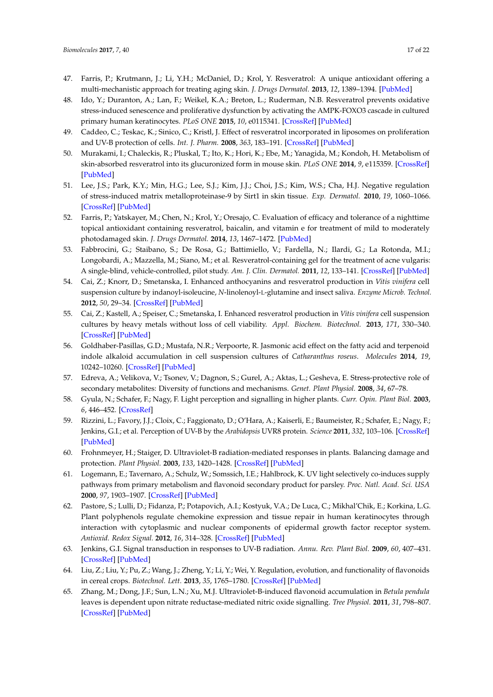- <span id="page-16-0"></span>47. Farris, P.; Krutmann, J.; Li, Y.H.; McDaniel, D.; Krol, Y. Resveratrol: A unique antioxidant offering a multi-mechanistic approach for treating aging skin. *J. Drugs Dermatol.* **2013**, *12*, 1389–1394. [\[PubMed\]](http://www.ncbi.nlm.nih.gov/pubmed/24301240)
- 48. Ido, Y.; Duranton, A.; Lan, F.; Weikel, K.A.; Breton, L.; Ruderman, N.B. Resveratrol prevents oxidative stress-induced senescence and proliferative dysfunction by activating the AMPK-FOXO3 cascade in cultured primary human keratinocytes. *PLoS ONE* **2015**, *10*, e0115341. [\[CrossRef\]](http://dx.doi.org/10.1371/journal.pone.0115341) [\[PubMed\]](http://www.ncbi.nlm.nih.gov/pubmed/25647160)
- <span id="page-16-1"></span>49. Caddeo, C.; Teskac, K.; Sinico, C.; Kristl, J. Effect of resveratrol incorporated in liposomes on proliferation and UV-B protection of cells. *Int. J. Pharm.* **2008**, *363*, 183–191. [\[CrossRef\]](http://dx.doi.org/10.1016/j.ijpharm.2008.07.024) [\[PubMed\]](http://www.ncbi.nlm.nih.gov/pubmed/18718515)
- <span id="page-16-2"></span>50. Murakami, I.; Chaleckis, R.; Pluskal, T.; Ito, K.; Hori, K.; Ebe, M.; Yanagida, M.; Kondoh, H. Metabolism of skin-absorbed resveratrol into its glucuronized form in mouse skin. *PLoS ONE* **2014**, *9*, e115359. [\[CrossRef\]](http://dx.doi.org/10.1371/journal.pone.0115359) [\[PubMed\]](http://www.ncbi.nlm.nih.gov/pubmed/25506824)
- <span id="page-16-3"></span>51. Lee, J.S.; Park, K.Y.; Min, H.G.; Lee, S.J.; Kim, J.J.; Choi, J.S.; Kim, W.S.; Cha, H.J. Negative regulation of stress-induced matrix metalloproteinase-9 by Sirt1 in skin tissue. *Exp. Dermatol.* **2010**, *19*, 1060–1066. [\[CrossRef\]](http://dx.doi.org/10.1111/j.1600-0625.2010.01129.x) [\[PubMed\]](http://www.ncbi.nlm.nih.gov/pubmed/20812964)
- <span id="page-16-4"></span>52. Farris, P.; Yatskayer, M.; Chen, N.; Krol, Y.; Oresajo, C. Evaluation of efficacy and tolerance of a nighttime topical antioxidant containing resveratrol, baicalin, and vitamin e for treatment of mild to moderately photodamaged skin. *J. Drugs Dermatol.* **2014**, *13*, 1467–1472. [\[PubMed\]](http://www.ncbi.nlm.nih.gov/pubmed/25607790)
- <span id="page-16-5"></span>53. Fabbrocini, G.; Staibano, S.; De Rosa, G.; Battimiello, V.; Fardella, N.; Ilardi, G.; La Rotonda, M.I.; Longobardi, A.; Mazzella, M.; Siano, M.; et al. Resveratrol-containing gel for the treatment of acne vulgaris: A single-blind, vehicle-controlled, pilot study. *Am. J. Clin. Dermatol.* **2011**, *12*, 133–141. [\[CrossRef\]](http://dx.doi.org/10.2165/11530630-000000000-00000) [\[PubMed\]](http://www.ncbi.nlm.nih.gov/pubmed/21348544)
- <span id="page-16-6"></span>54. Cai, Z.; Knorr, D.; Smetanska, I. Enhanced anthocyanins and resveratrol production in *Vitis vinifera* cell suspension culture by indanoyl-isoleucine, *N*-linolenoyl-L-glutamine and insect saliva. *Enzyme Microb. Technol.* **2012**, *50*, 29–34. [\[CrossRef\]](http://dx.doi.org/10.1016/j.enzmictec.2011.09.001) [\[PubMed\]](http://www.ncbi.nlm.nih.gov/pubmed/22133437)
- <span id="page-16-7"></span>55. Cai, Z.; Kastell, A.; Speiser, C.; Smetanska, I. Enhanced resveratrol production in *Vitis vinifera* cell suspension cultures by heavy metals without loss of cell viability. *Appl. Biochem. Biotechnol.* **2013**, *171*, 330–340. [\[CrossRef\]](http://dx.doi.org/10.1007/s12010-013-0354-4) [\[PubMed\]](http://www.ncbi.nlm.nih.gov/pubmed/23832187)
- <span id="page-16-8"></span>56. Goldhaber-Pasillas, G.D.; Mustafa, N.R.; Verpoorte, R. Jasmonic acid effect on the fatty acid and terpenoid indole alkaloid accumulation in cell suspension cultures of *Catharanthus roseus*. *Molecules* **2014**, *19*, 10242–10260. [\[CrossRef\]](http://dx.doi.org/10.3390/molecules190710242) [\[PubMed\]](http://www.ncbi.nlm.nih.gov/pubmed/25029072)
- <span id="page-16-9"></span>57. Edreva, A.; Velikova, V.; Tsonev, V.; Dagnon, S.; Gurel, A.; Aktas, L.; Gesheva, E. Stress-protective role of secondary metabolites: Diversity of functions and mechanisms. *Genet. Plant Physiol.* **2008**, *34*, 67–78.
- <span id="page-16-10"></span>58. Gyula, N.; Schafer, F.; Nagy, F. Light perception and signalling in higher plants. *Curr. Opin. Plant Biol.* **2003**, *6*, 446–452. [\[CrossRef\]](http://dx.doi.org/10.1016/S1369-5266(03)00082-7)
- <span id="page-16-11"></span>59. Rizzini, L.; Favory, J.J.; Cloix, C.; Faggionato, D.; O'Hara, A.; Kaiserli, E.; Baumeister, R.; Schafer, E.; Nagy, F.; Jenkins, G.I.; et al. Perception of UV-B by the *Arabidopsis* UVR8 protein. *Science* **2011**, *332*, 103–106. [\[CrossRef\]](http://dx.doi.org/10.1126/science.1200660) [\[PubMed\]](http://www.ncbi.nlm.nih.gov/pubmed/21454788)
- <span id="page-16-12"></span>60. Frohnmeyer, H.; Staiger, D. Ultraviolet-B radiation-mediated responses in plants. Balancing damage and protection. *Plant Physiol.* **2003**, *133*, 1420–1428. [\[CrossRef\]](http://dx.doi.org/10.1104/pp.103.030049) [\[PubMed\]](http://www.ncbi.nlm.nih.gov/pubmed/14681524)
- <span id="page-16-13"></span>61. Logemann, E.; Tavernaro, A.; Schulz, W.; Somssich, I.E.; Hahlbrock, K. UV light selectively co-induces supply pathways from primary metabolism and flavonoid secondary product for parsley. *Proc. Natl. Acad. Sci. USA* **2000**, *97*, 1903–1907. [\[CrossRef\]](http://dx.doi.org/10.1073/pnas.97.4.1903) [\[PubMed\]](http://www.ncbi.nlm.nih.gov/pubmed/10677554)
- <span id="page-16-14"></span>62. Pastore, S.; Lulli, D.; Fidanza, P.; Potapovich, A.I.; Kostyuk, V.A.; De Luca, C.; Mikhal'Chik, E.; Korkina, L.G. Plant polyphenols regulate chemokine expression and tissue repair in human keratinocytes through interaction with cytoplasmic and nuclear components of epidermal growth factor receptor system. *Antioxid. Redox Signal.* **2012**, *16*, 314–328. [\[CrossRef\]](http://dx.doi.org/10.1089/ars.2011.4053) [\[PubMed\]](http://www.ncbi.nlm.nih.gov/pubmed/21967610)
- 63. Jenkins, G.I. Signal transduction in responses to UV-B radiation. *Annu. Rev. Plant Biol.* **2009**, *60*, 407–431. [\[CrossRef\]](http://dx.doi.org/10.1146/annurev.arplant.59.032607.092953) [\[PubMed\]](http://www.ncbi.nlm.nih.gov/pubmed/19400728)
- <span id="page-16-15"></span>64. Liu, Z.; Liu, Y.; Pu, Z.; Wang, J.; Zheng, Y.; Li, Y.; Wei, Y. Regulation, evolution, and functionality of flavonoids in cereal crops. *Biotechnol. Lett.* **2013**, *35*, 1765–1780. [\[CrossRef\]](http://dx.doi.org/10.1007/s10529-013-1277-4) [\[PubMed\]](http://www.ncbi.nlm.nih.gov/pubmed/23881316)
- <span id="page-16-16"></span>65. Zhang, M.; Dong, J.F.; Sun, L.N.; Xu, M.J. Ultraviolet-B-induced flavonoid accumulation in *Betula pendula* leaves is dependent upon nitrate reductase-mediated nitric oxide signalling. *Tree Physiol.* **2011**, *31*, 798–807. [\[CrossRef\]](http://dx.doi.org/10.1093/treephys/tpr070) [\[PubMed\]](http://www.ncbi.nlm.nih.gov/pubmed/21813515)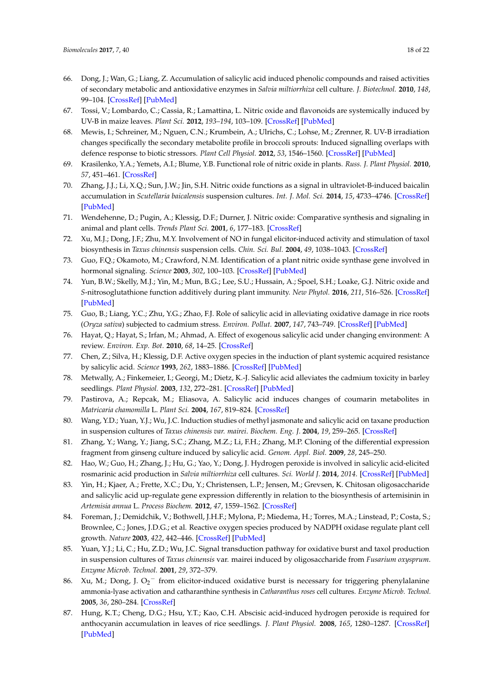- <span id="page-17-15"></span>66. Dong, J.; Wan, G.; Liang, Z. Accumulation of salicylic acid induced phenolic compounds and raised activities of secondary metabolic and antioxidative enzymes in *Salvia miltiorrhiza* cell culture. *J. Biotechnol.* **2010**, *148*, 99–104. [\[CrossRef\]](http://dx.doi.org/10.1016/j.jbiotec.2010.05.009) [\[PubMed\]](http://www.ncbi.nlm.nih.gov/pubmed/20576504)
- <span id="page-17-0"></span>67. Tossi, V.; Lombardo, C.; Cassia, R.; Lamattina, L. Nitric oxide and flavonoids are systemically induced by UV-B in maize leaves. *Plant Sci.* **2012**, *193–194*, 103–109. [\[CrossRef\]](http://dx.doi.org/10.1016/j.plantsci.2012.05.012) [\[PubMed\]](http://www.ncbi.nlm.nih.gov/pubmed/22794923)
- <span id="page-17-1"></span>68. Mewis, I.; Schreiner, M.; Nguen, C.N.; Krumbein, A.; Ulrichs, C.; Lohse, M.; Zrenner, R. UV-B irradiation changes specifically the secondary metabolite profile in broccoli sprouts: Induced signalling overlaps with defence response to biotic stressors. *Plant Cell Physiol.* **2012**, *53*, 1546–1560. [\[CrossRef\]](http://dx.doi.org/10.1093/pcp/pcs096) [\[PubMed\]](http://www.ncbi.nlm.nih.gov/pubmed/22773681)
- <span id="page-17-2"></span>69. Krasilenko, Y.A.; Yemets, A.I.; Blume, Y.B. Functional role of nitric oxide in plants. *Russ. J. Plant Physiol.* **2010**, *57*, 451–461. [\[CrossRef\]](http://dx.doi.org/10.1134/S1021443710040011)
- <span id="page-17-3"></span>70. Zhang, J.J.; Li, X.Q.; Sun, J.W.; Jin, S.H. Nitric oxide functions as a signal in ultraviolet-B-induced baicalin accumulation in *Scutellaria baicalensis* suspension cultures. *Int. J. Mol. Sci.* **2014**, *15*, 4733–4746. [\[CrossRef\]](http://dx.doi.org/10.3390/ijms15034733) [\[PubMed\]](http://www.ncbi.nlm.nih.gov/pubmed/24646913)
- <span id="page-17-4"></span>71. Wendehenne, D.; Pugin, A.; Klessig, D.F.; Durner, J. Nitric oxide: Comparative synthesis and signaling in animal and plant cells. *Trends Plant Sci.* **2001**, *6*, 177–183. [\[CrossRef\]](http://dx.doi.org/10.1016/S1360-1385(01)01893-3)
- <span id="page-17-5"></span>72. Xu, M.J.; Dong, J.F.; Zhu, M.Y. Involvement of NO in fungal elicitor-induced activity and stimulation of taxol biosynthesis in *Taxus chinensis* suspension cells. *Chin. Sci. Bul.* **2004**, *49*, 1038–1043. [\[CrossRef\]](http://dx.doi.org/10.1007/BF03184034)
- <span id="page-17-6"></span>73. Guo, F.Q.; Okamoto, M.; Crawford, N.M. Identification of a plant nitric oxide synthase gene involved in hormonal signaling. *Science* **2003**, *302*, 100–103. [\[CrossRef\]](http://dx.doi.org/10.1126/science.1086770) [\[PubMed\]](http://www.ncbi.nlm.nih.gov/pubmed/14526079)
- <span id="page-17-7"></span>74. Yun, B.W.; Skelly, M.J.; Yin, M.; Mun, B.G.; Lee, S.U.; Hussain, A.; Spoel, S.H.; Loake, G.J. Nitric oxide and *S*-nitrosoglutathione function additively during plant immunity. *New Phytol.* **2016**, *211*, 516–526. [\[CrossRef\]](http://dx.doi.org/10.1111/nph.13903) [\[PubMed\]](http://www.ncbi.nlm.nih.gov/pubmed/26916092)
- <span id="page-17-8"></span>75. Guo, B.; Liang, Y.C.; Zhu, Y.G.; Zhao, F.J. Role of salicylic acid in alleviating oxidative damage in rice roots (*Oryza sativa*) subjected to cadmium stress. *Environ. Pollut.* **2007**, *147*, 743–749. [\[CrossRef\]](http://dx.doi.org/10.1016/j.envpol.2006.09.007) [\[PubMed\]](http://www.ncbi.nlm.nih.gov/pubmed/17084493)
- <span id="page-17-9"></span>76. Hayat, Q.; Hayat, S.; Irfan, M.; Ahmad, A. Effect of exogenous salicylic acid under changing environment: A review. *Environ. Exp. Bot.* **2010**, *68*, 14–25. [\[CrossRef\]](http://dx.doi.org/10.1016/j.envexpbot.2009.08.005)
- <span id="page-17-10"></span>77. Chen, Z.; Silva, H.; Klessig, D.F. Active oxygen species in the induction of plant systemic acquired resistance by salicylic acid. *Science* **1993**, *262*, 1883–1886. [\[CrossRef\]](http://dx.doi.org/10.1126/science.8266079) [\[PubMed\]](http://www.ncbi.nlm.nih.gov/pubmed/8266079)
- <span id="page-17-11"></span>78. Metwally, A.; Finkemeier, I.; Georgi, M.; Dietz, K.-J. Salicylic acid alleviates the cadmium toxicity in barley seedlings. *Plant Physiol.* **2003**, *132*, 272–281. [\[CrossRef\]](http://dx.doi.org/10.1104/pp.102.018457) [\[PubMed\]](http://www.ncbi.nlm.nih.gov/pubmed/12746532)
- <span id="page-17-12"></span>79. Pastirova, A.; Repcak, M.; Eliasova, A. Salicylic acid induces changes of coumarin metabolites in *Matricaria chamomilla* L. *Plant Sci.* **2004**, *167*, 819–824. [\[CrossRef\]](http://dx.doi.org/10.1016/j.plantsci.2004.05.027)
- <span id="page-17-13"></span>80. Wang, Y.D.; Yuan, Y.J.; Wu, J.C. Induction studies of methyl jasmonate and salicylic acid on taxane production in suspension cultures of *Taxus chinensis var. mairei*. *Biochem. Eng. J.* **2004**, *19*, 259–265. [\[CrossRef\]](http://dx.doi.org/10.1016/j.bej.2004.02.006)
- <span id="page-17-14"></span>81. Zhang, Y.; Wang, Y.; Jiang, S.C.; Zhang, M.Z.; Li, F.H.; Zhang, M.P. Cloning of the differential expression fragment from ginseng culture induced by salicylic acid. *Genom. Appl. Biol.* **2009**, *28*, 245–250.
- <span id="page-17-16"></span>82. Hao, W.; Guo, H.; Zhang, J.; Hu, G.; Yao, Y.; Dong, J. Hydrogen peroxide is involved in salicylic acid-elicited rosmarinic acid production in *Salvia miltiorrhiza* cell cultures. *Sci. World J.* **2014**, *2014*. [\[CrossRef\]](http://dx.doi.org/10.1155/2014/843764) [\[PubMed\]](http://www.ncbi.nlm.nih.gov/pubmed/24995364)
- <span id="page-17-17"></span>83. Yin, H.; Kjaer, A.; Frette, X.C.; Du, Y.; Christensen, L.P.; Jensen, M.; Grevsen, K. Chitosan oligosaccharide and salicylic acid up-regulate gene expression differently in relation to the biosynthesis of artemisinin in *Artemisia annua* L. *Process Biochem.* **2012**, *47*, 1559–1562. [\[CrossRef\]](http://dx.doi.org/10.1016/j.procbio.2011.12.020)
- <span id="page-17-18"></span>84. Foreman, J.; Demidchik, V.; Bothwell, J.H.F.; Mylona, P.; Miedema, H.; Torres, M.A.; Linstead, P.; Costa, S.; Brownlee, C.; Jones, J.D.G.; et al. Reactive oxygen species produced by NADPH oxidase regulate plant cell growth. *Nature* **2003**, *422*, 442–446. [\[CrossRef\]](http://dx.doi.org/10.1038/nature01485) [\[PubMed\]](http://www.ncbi.nlm.nih.gov/pubmed/12660786)
- <span id="page-17-19"></span>85. Yuan, Y.J.; Li, C.; Hu, Z.D.; Wu, J.C. Signal transduction pathway for oxidative burst and taxol production in suspension cultures of *Taxus chinensis* var. mairei induced by oligosaccharide from *Fusarium oxysprum*. *Enzyme Microb. Technol.* **2001**, *29*, 372–379.
- 86. Xu, M.; Dong, J.  $O_2$ <sup>-</sup> from elicitor-induced oxidative burst is necessary for triggering phenylalanine ammonia-lyase activation and catharanthine synthesis in *Catharanthus roses* cell cultures. *Enzyme Microb. Technol.* **2005**, *36*, 280–284. [\[CrossRef\]](http://dx.doi.org/10.1016/j.enzmictec.2004.08.038)
- <span id="page-17-20"></span>87. Hung, K.T.; Cheng, D.G.; Hsu, Y.T.; Kao, C.H. Abscisic acid-induced hydrogen peroxide is required for anthocyanin accumulation in leaves of rice seedlings. *J. Plant Physiol.* **2008**, *165*, 1280–1287. [\[CrossRef\]](http://dx.doi.org/10.1016/j.jplph.2007.10.008) [\[PubMed\]](http://www.ncbi.nlm.nih.gov/pubmed/18160127)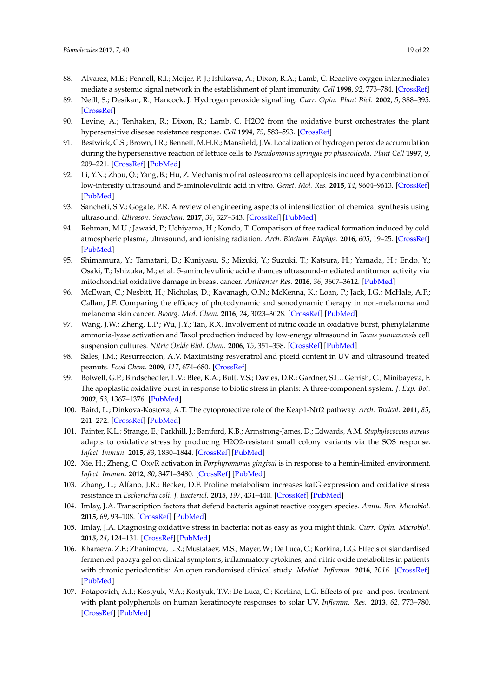- <span id="page-18-0"></span>88. Alvarez, M.E.; Pennell, R.I.; Meijer, P.-J.; Ishikawa, A.; Dixon, R.A.; Lamb, C. Reactive oxygen intermediates mediate a systemic signal network in the establishment of plant immunity. *Cell* **1998**, *92*, 773–784. [\[CrossRef\]](http://dx.doi.org/10.1016/S0092-8674(00)81405-1)
- 89. Neill, S.; Desikan, R.; Hancock, J. Hydrogen peroxide signalling. *Curr. Opin. Plant Biol.* **2002**, *5*, 388–395. [\[CrossRef\]](http://dx.doi.org/10.1016/S1369-5266(02)00282-0)
- 90. Levine, A.; Tenhaken, R.; Dixon, R.; Lamb, C. H2O2 from the oxidative burst orchestrates the plant hypersensitive disease resistance response. *Cell* **1994**, *79*, 583–593. [\[CrossRef\]](http://dx.doi.org/10.1016/0092-8674(94)90544-4)
- <span id="page-18-1"></span>91. Bestwick, C.S.; Brown, I.R.; Bennett, M.H.R.; Mansfield, J.W. Localization of hydrogen peroxide accumulation during the hypersensitive reaction of lettuce cells to *Pseudomonas syringae pv phaseolicola*. *Plant Cell* **1997**, *9*, 209–221. [\[CrossRef\]](http://dx.doi.org/10.1105/tpc.9.2.209) [\[PubMed\]](http://www.ncbi.nlm.nih.gov/pubmed/9061952)
- <span id="page-18-2"></span>92. Li, Y.N.; Zhou, Q.; Yang, B.; Hu, Z. Mechanism of rat osteosarcoma cell apoptosis induced by a combination of low-intensity ultrasound and 5-aminolevulinic acid in vitro. *Genet. Mol. Res.* **2015**, *14*, 9604–9613. [\[CrossRef\]](http://dx.doi.org/10.4238/2015.August.14.23) [\[PubMed\]](http://www.ncbi.nlm.nih.gov/pubmed/26345893)
- <span id="page-18-3"></span>93. Sancheti, S.V.; Gogate, P.R. A review of engineering aspects of intensification of chemical synthesis using ultrasound. *Ultrason. Sonochem.* **2017**, *36*, 527–543. [\[CrossRef\]](http://dx.doi.org/10.1016/j.ultsonch.2016.08.009) [\[PubMed\]](http://www.ncbi.nlm.nih.gov/pubmed/27567541)
- <span id="page-18-4"></span>94. Rehman, M.U.; Jawaid, P.; Uchiyama, H.; Kondo, T. Comparison of free radical formation induced by cold atmospheric plasma, ultrasound, and ionising radiation. *Arch. Biochem. Biophys.* **2016**, *605*, 19–25. [\[CrossRef\]](http://dx.doi.org/10.1016/j.abb.2016.04.005) [\[PubMed\]](http://www.ncbi.nlm.nih.gov/pubmed/27085689)
- <span id="page-18-5"></span>95. Shimamura, Y.; Tamatani, D.; Kuniyasu, S.; Mizuki, Y.; Suzuki, T.; Katsura, H.; Yamada, H.; Endo, Y.; Osaki, T.; Ishizuka, M.; et al. 5-aminolevulinic acid enhances ultrasound-mediated antitumor activity via mitochondrial oxidative damage in breast cancer. *Anticancer Res.* **2016**, *36*, 3607–3612. [\[PubMed\]](http://www.ncbi.nlm.nih.gov/pubmed/27354630)
- <span id="page-18-6"></span>96. McEwan, C.; Nesbitt, H.; Nicholas, D.; Kavanagh, O.N.; McKenna, K.; Loan, P.; Jack, I.G.; McHale, A.P.; Callan, J.F. Comparing the efficacy of photodynamic and sonodynamic therapy in non-melanoma and melanoma skin cancer. *Bioorg. Med. Chem.* **2016**, *24*, 3023–3028. [\[CrossRef\]](http://dx.doi.org/10.1016/j.bmc.2016.05.015) [\[PubMed\]](http://www.ncbi.nlm.nih.gov/pubmed/27234890)
- <span id="page-18-7"></span>97. Wang, J.W.; Zheng, L.P.; Wu, J.Y.; Tan, R.X. Involvement of nitric oxide in oxidative burst, phenylalanine ammonia-lyase activation and Taxol production induced by low-energy ultrasound in *Taxus yunnanensis* cell suspension cultures. *Nitric Oxide Biol. Chem.* **2006**, *15*, 351–358. [\[CrossRef\]](http://dx.doi.org/10.1016/j.niox.2006.04.261) [\[PubMed\]](http://www.ncbi.nlm.nih.gov/pubmed/16753316)
- <span id="page-18-8"></span>98. Sales, J.M.; Resurreccion, A.V. Maximising resveratrol and piceid content in UV and ultrasound treated peanuts. *Food Chem.* **2009**, *117*, 674–680. [\[CrossRef\]](http://dx.doi.org/10.1016/j.foodchem.2009.04.075)
- <span id="page-18-9"></span>99. Bolwell, G.P.; Bindschedler, L.V.; Blee, K.A.; Butt, V.S.; Davies, D.R.; Gardner, S.L.; Gerrish, C.; Minibayeva, F. The apoplastic oxidative burst in response to biotic stress in plants: A three-component system. *J. Exp. Bot.* **2002**, *53*, 1367–1376. [\[PubMed\]](http://www.ncbi.nlm.nih.gov/pubmed/11997382)
- <span id="page-18-10"></span>100. Baird, L.; Dinkova-Kostova, A.T. The cytoprotective role of the Keap1-Nrf2 pathway. *Arch. Toxicol.* **2011**, *85*, 241–272. [\[CrossRef\]](http://dx.doi.org/10.1007/s00204-011-0674-5) [\[PubMed\]](http://www.ncbi.nlm.nih.gov/pubmed/21365312)
- <span id="page-18-11"></span>101. Painter, K.L.; Strange, E.; Parkhill, J.; Bamford, K.B.; Armstrong-James, D.; Edwards, A.M. *Staphylococcus aureus* adapts to oxidative stress by producing H2O2-resistant small colony variants via the SOS response. *Infect. Immun.* **2015**, *83*, 1830–1844. [\[CrossRef\]](http://dx.doi.org/10.1128/IAI.03016-14) [\[PubMed\]](http://www.ncbi.nlm.nih.gov/pubmed/25690100)
- 102. Xie, H.; Zheng, C. OxyR activation in *Porphyromonas gingival* is in response to a hemin-limited environment. *Infect. Immun.* **2012**, *80*, 3471–3480. [\[CrossRef\]](http://dx.doi.org/10.1128/IAI.00680-12) [\[PubMed\]](http://www.ncbi.nlm.nih.gov/pubmed/22825453)
- <span id="page-18-12"></span>103. Zhang, L.; Alfano, J.R.; Becker, D.F. Proline metabolism increases katG expression and oxidative stress resistance in *Escherichia coli*. *J. Bacteriol.* **2015**, *197*, 431–440. [\[CrossRef\]](http://dx.doi.org/10.1128/JB.02282-14) [\[PubMed\]](http://www.ncbi.nlm.nih.gov/pubmed/25384482)
- <span id="page-18-13"></span>104. Imlay, J.A. Transcription factors that defend bacteria against reactive oxygen species. *Annu. Rev. Microbiol.* **2015**, *69*, 93–108. [\[CrossRef\]](http://dx.doi.org/10.1146/annurev-micro-091014-104322) [\[PubMed\]](http://www.ncbi.nlm.nih.gov/pubmed/26070785)
- <span id="page-18-14"></span>105. Imlay, J.A. Diagnosing oxidative stress in bacteria: not as easy as you might think. *Curr. Opin. Microbiol.* **2015**, *24*, 124–131. [\[CrossRef\]](http://dx.doi.org/10.1016/j.mib.2015.01.004) [\[PubMed\]](http://www.ncbi.nlm.nih.gov/pubmed/25666086)
- <span id="page-18-15"></span>106. Kharaeva, Z.F.; Zhanimova, L.R.; Mustafaev, M.S.; Mayer, W.; De Luca, C.; Korkina, L.G. Effects of standardised fermented papaya gel on clinical symptoms, inflammatory cytokines, and nitric oxide metabolites in patients with chronic periodontitis: An open randomised clinical study. *Mediat. Inflamm.* **2016**, *2016*. [\[CrossRef\]](http://dx.doi.org/10.1155/2016/9379840) [\[PubMed\]](http://www.ncbi.nlm.nih.gov/pubmed/26977121)
- <span id="page-18-16"></span>107. Potapovich, A.I.; Kostyuk, V.A.; Kostyuk, T.V.; De Luca, C.; Korkina, L.G. Effects of pre- and post-treatment with plant polyphenols on human keratinocyte responses to solar UV. *Inflamm. Res.* **2013**, *62*, 773–780. [\[CrossRef\]](http://dx.doi.org/10.1007/s00011-013-0634-z) [\[PubMed\]](http://www.ncbi.nlm.nih.gov/pubmed/23689555)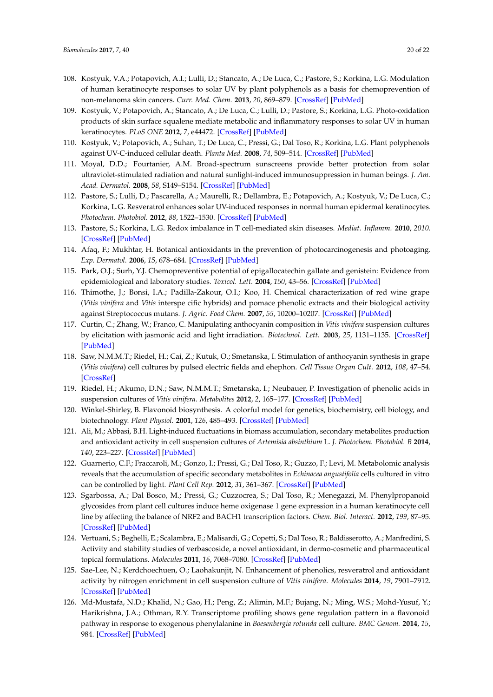- 108. Kostyuk, V.A.; Potapovich, A.I.; Lulli, D.; Stancato, A.; De Luca, C.; Pastore, S.; Korkina, L.G. Modulation of human keratinocyte responses to solar UV by plant polyphenols as a basis for chemoprevention of non-melanoma skin cancers. *Curr. Med. Chem.* **2013**, *20*, 869–879. [\[CrossRef\]](http://dx.doi.org/10.2174/0929867311320070003) [\[PubMed\]](http://www.ncbi.nlm.nih.gov/pubmed/23210792)
- 109. Kostyuk, V.; Potapovich, A.; Stancato, A.; De Luca, C.; Lulli, D.; Pastore, S.; Korkina, L.G. Photo-oxidation products of skin surface squalene mediate metabolic and inflammatory responses to solar UV in human keratinocytes. *PLoS ONE* **2012**, *7*, e44472. [\[CrossRef\]](http://dx.doi.org/10.1371/journal.pone.0044472) [\[PubMed\]](http://www.ncbi.nlm.nih.gov/pubmed/22952984)
- <span id="page-19-0"></span>110. Kostyuk, V.; Potapovich, A.; Suhan, T.; De Luca, C.; Pressi, G.; Dal Toso, R.; Korkina, L.G. Plant polyphenols against UV-C-induced cellular death. *Planta Med.* **2008**, *74*, 509–514. [\[CrossRef\]](http://dx.doi.org/10.1055/s-2008-1074499) [\[PubMed\]](http://www.ncbi.nlm.nih.gov/pubmed/18404597)
- <span id="page-19-1"></span>111. Moyal, D.D.; Fourtanier, A.M. Broad-spectrum sunscreens provide better protection from solar ultraviolet-stimulated radiation and natural sunlight-induced immunosuppression in human beings. *J. Am. Acad. Dermatol.* **2008**, *58*, S149–S154. [\[CrossRef\]](http://dx.doi.org/10.1016/j.jaad.2007.04.035) [\[PubMed\]](http://www.ncbi.nlm.nih.gov/pubmed/18410801)
- <span id="page-19-2"></span>112. Pastore, S.; Lulli, D.; Pascarella, A.; Maurelli, R.; Dellambra, E.; Potapovich, A.; Kostyuk, V.; De Luca, C.; Korkina, L.G. Resveratrol enhances solar UV-induced responses in normal human epidermal keratinocytes. *Photochem. Photobiol.* **2012**, *88*, 1522–1530. [\[CrossRef\]](http://dx.doi.org/10.1111/j.1751-1097.2012.01195.x) [\[PubMed\]](http://www.ncbi.nlm.nih.gov/pubmed/22762504)
- <span id="page-19-3"></span>113. Pastore, S.; Korkina, L.G. Redox imbalance in T cell-mediated skin diseases. *Mediat. Inflamm.* **2010**, *2010*. [\[CrossRef\]](http://dx.doi.org/10.1155/2010/861949) [\[PubMed\]](http://www.ncbi.nlm.nih.gov/pubmed/20847812)
- <span id="page-19-4"></span>114. Afaq, F.; Mukhtar, H. Botanical antioxidants in the prevention of photocarcinogenesis and photoaging. *Exp. Dermatol.* **2006**, *15*, 678–684. [\[CrossRef\]](http://dx.doi.org/10.1111/j.1600-0625.2006.00466.x) [\[PubMed\]](http://www.ncbi.nlm.nih.gov/pubmed/16881964)
- <span id="page-19-5"></span>115. Park, O.J.; Surh, Y.J. Chemopreventive potential of epigallocatechin gallate and genistein: Evidence from epidemiological and laboratory studies. *Toxicol. Lett.* **2004**, *150*, 43–56. [\[CrossRef\]](http://dx.doi.org/10.1016/j.toxlet.2003.06.001) [\[PubMed\]](http://www.ncbi.nlm.nih.gov/pubmed/15068824)
- <span id="page-19-6"></span>116. Thimothe, J.; Bonsi, I.A.; Padilla-Zakour, O.I.; Koo, H. Chemical characterization of red wine grape (*Vitis vinifera* and *Vitis* interspe cific hybrids) and pomace phenolic extracts and their biological activity against Streptococcus mutans. *J. Agric. Food Chem.* **2007**, *55*, 10200–10207. [\[CrossRef\]](http://dx.doi.org/10.1021/jf0722405) [\[PubMed\]](http://www.ncbi.nlm.nih.gov/pubmed/17999462)
- 117. Curtin, C.; Zhang, W.; Franco, C. Manipulating anthocyanin composition in *Vitis vinifera* suspension cultures by elicitation with jasmonic acid and light irradiation. *Biotechnol. Lett.* **2003**, *25*, 1131–1135. [\[CrossRef\]](http://dx.doi.org/10.1023/A:1024556825544) [\[PubMed\]](http://www.ncbi.nlm.nih.gov/pubmed/12966999)
- <span id="page-19-7"></span>118. Saw, N.M.M.T.; Riedel, H.; Cai, Z.; Kutuk, O.; Smetanska, I. Stimulation of anthocyanin synthesis in grape (*Vitis vinifera*) cell cultures by pulsed electric fields and ehephon. *Cell Tissue Organ Cult.* **2012**, *108*, 47–54. [\[CrossRef\]](http://dx.doi.org/10.1007/s11240-011-0010-z)
- <span id="page-19-8"></span>119. Riedel, H.; Akumo, D.N.; Saw, N.M.M.T.; Smetanska, I.; Neubauer, P. Investigation of phenolic acids in suspension cultures of *Vitis vinifera*. *Metabolites* **2012**, *2*, 165–177. [\[CrossRef\]](http://dx.doi.org/10.3390/metabo2010165) [\[PubMed\]](http://www.ncbi.nlm.nih.gov/pubmed/24957372)
- <span id="page-19-9"></span>120. Winkel-Shirley, B. Flavonoid biosynthesis. A colorful model for genetics, biochemistry, cell biology, and biotechnology. *Plant Physiol.* **2001**, *126*, 485–493. [\[CrossRef\]](http://dx.doi.org/10.1104/pp.126.2.485) [\[PubMed\]](http://www.ncbi.nlm.nih.gov/pubmed/11402179)
- <span id="page-19-10"></span>121. Ali, M.; Abbasi, B.H. Light-induced fluctuations in biomass accumulation, secondary metabolites production and antioxidant activity in cell suspension cultures of *Artemisia absinthium* L. *J. Photochem. Photobiol. B* **2014**, *140*, 223–227. [\[CrossRef\]](http://dx.doi.org/10.1016/j.jphotobiol.2014.08.008) [\[PubMed\]](http://www.ncbi.nlm.nih.gov/pubmed/25169773)
- <span id="page-19-11"></span>122. Guarnerio, C.F.; Fraccaroli, M.; Gonzo, I.; Pressi, G.; Dal Toso, R.; Guzzo, F.; Levi, M. Metabolomic analysis reveals that the accumulation of specific secondary metabolites in *Echinacea angustifolia* cells cultured in vitro can be controlled by light. *Plant Cell Rep.* **2012**, *31*, 361–367. [\[CrossRef\]](http://dx.doi.org/10.1007/s00299-011-1171-2) [\[PubMed\]](http://www.ncbi.nlm.nih.gov/pubmed/22009052)
- <span id="page-19-12"></span>123. Sgarbossa, A.; Dal Bosco, M.; Pressi, G.; Cuzzocrea, S.; Dal Toso, R.; Menegazzi, M. Phenylpropanoid glycosides from plant cell cultures induce heme oxigenase 1 gene expression in a human keratinocyte cell line by affecting the balance of NRF2 and BACH1 transcription factors. *Chem. Biol. Interact.* **2012**, *199*, 87–95. [\[CrossRef\]](http://dx.doi.org/10.1016/j.cbi.2012.06.006) [\[PubMed\]](http://www.ncbi.nlm.nih.gov/pubmed/22735309)
- <span id="page-19-13"></span>124. Vertuani, S.; Beghelli, E.; Scalambra, E.; Malisardi, G.; Copetti, S.; Dal Toso, R.; Baldisserotto, A.; Manfredini, S. Activity and stability studies of verbascoside, a novel antioxidant, in dermo-cosmetic and pharmaceutical topical formulations. *Molecules* **2011**, *16*, 7068–7080. [\[CrossRef\]](http://dx.doi.org/10.3390/molecules16087068) [\[PubMed\]](http://www.ncbi.nlm.nih.gov/pubmed/21852765)
- <span id="page-19-14"></span>125. Sae-Lee, N.; Kerdchoechuen, O.; Laohakunjit, N. Enhancement of phenolics, resveratrol and antioxidant activity by nitrogen enrichment in cell suspension culture of *Vitis vinifera*. *Molecules* **2014**, *19*, 7901–7912. [\[CrossRef\]](http://dx.doi.org/10.3390/molecules19067901) [\[PubMed\]](http://www.ncbi.nlm.nih.gov/pubmed/24962393)
- <span id="page-19-15"></span>126. Md-Mustafa, N.D.; Khalid, N.; Gao, H.; Peng, Z.; Alimin, M.F.; Bujang, N.; Ming, W.S.; Mohd-Yusuf, Y.; Harikrishna, J.A.; Othman, R.Y. Transcriptome profiling shows gene regulation pattern in a flavonoid pathway in response to exogenous phenylalanine in *Boesenbergia rotunda* cell culture. *BMC Genom.* **2014**, *15*, 984. [\[CrossRef\]](http://dx.doi.org/10.1186/1471-2164-15-984) [\[PubMed\]](http://www.ncbi.nlm.nih.gov/pubmed/25407215)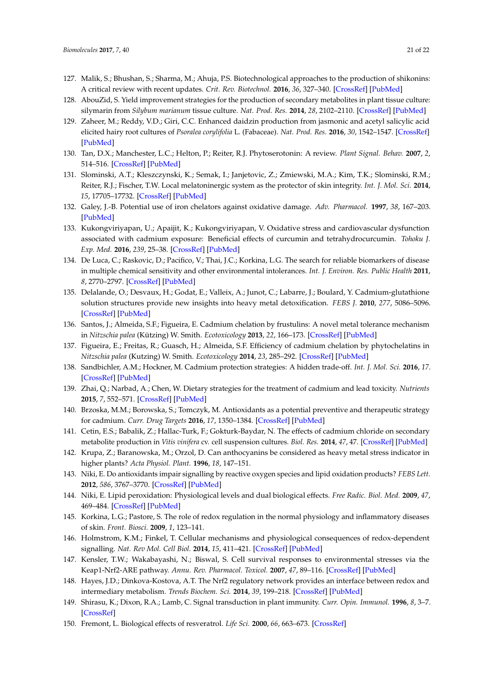- <span id="page-20-0"></span>127. Malik, S.; Bhushan, S.; Sharma, M.; Ahuja, P.S. Biotechnological approaches to the production of shikonins: A critical review with recent updates. *Crit. Rev. Biotechnol.* **2016**, *36*, 327–340. [\[CrossRef\]](http://dx.doi.org/10.3109/07388551.2014.961003) [\[PubMed\]](http://www.ncbi.nlm.nih.gov/pubmed/25319455)
- <span id="page-20-1"></span>128. AbouZid, S. Yield improvement strategies for the production of secondary metabolites in plant tissue culture: silymarin from *Silybum marianum* tissue culture. *Nat. Prod. Res.* **2014**, *28*, 2102–2110. [\[CrossRef\]](http://dx.doi.org/10.1080/14786419.2014.927465) [\[PubMed\]](http://www.ncbi.nlm.nih.gov/pubmed/24947979)
- <span id="page-20-2"></span>129. Zaheer, M.; Reddy, V.D.; Giri, C.C. Enhanced daidzin production from jasmonic and acetyl salicylic acid elicited hairy root cultures of *Psoralea corylifolia* L. (Fabaceae). *Nat. Prod. Res.* **2016**, *30*, 1542–1547. [\[CrossRef\]](http://dx.doi.org/10.1080/14786419.2015.1054823) [\[PubMed\]](http://www.ncbi.nlm.nih.gov/pubmed/26156378)
- <span id="page-20-3"></span>130. Tan, D.X.; Manchester, L.C.; Helton, P.; Reiter, R.J. Phytoserotonin: A review. *Plant Signal. Behav.* **2007**, *2*, 514–516. [\[CrossRef\]](http://dx.doi.org/10.4161/psb.2.6.4639) [\[PubMed\]](http://www.ncbi.nlm.nih.gov/pubmed/19704544)
- <span id="page-20-4"></span>131. Slominski, A.T.; Kleszczynski, K.; Semak, I.; Janjetovic, Z.; Zmiewski, M.A.; Kim, T.K.; Slominski, R.M.; Reiter, R.J.; Fischer, T.W. Local melatoninergic system as the protector of skin integrity. *Int. J. Mol. Sci.* **2014**, *15*, 17705–17732. [\[CrossRef\]](http://dx.doi.org/10.3390/ijms151017705) [\[PubMed\]](http://www.ncbi.nlm.nih.gov/pubmed/25272227)
- <span id="page-20-5"></span>132. Galey, J.-B. Potential use of iron chelators against oxidative damage. *Adv. Pharmacol.* **1997**, *38*, 167–203. [\[PubMed\]](http://www.ncbi.nlm.nih.gov/pubmed/8895809)
- <span id="page-20-6"></span>133. Kukongviriyapan, U.; Apaijit, K.; Kukongviriyapan, V. Oxidative stress and cardiovascular dysfunction associated with cadmium exposure: Beneficial effects of curcumin and tetrahydrocurcumin. *Tohoku J. Exp. Med.* **2016**, *239*, 25–38. [\[CrossRef\]](http://dx.doi.org/10.1620/tjem.239.25) [\[PubMed\]](http://www.ncbi.nlm.nih.gov/pubmed/27151191)
- <span id="page-20-7"></span>134. De Luca, C.; Raskovic, D.; Pacifico, V.; Thai, J.C.; Korkina, L.G. The search for reliable biomarkers of disease in multiple chemical sensitivity and other environmental intolerances. *Int. J. Environ. Res. Public Health* **2011**, *8*, 2770–2797. [\[CrossRef\]](http://dx.doi.org/10.3390/ijerph8072770) [\[PubMed\]](http://www.ncbi.nlm.nih.gov/pubmed/21845158)
- <span id="page-20-8"></span>135. Delalande, O.; Desvaux, H.; Godat, E.; Valleix, A.; Junot, C.; Labarre, J.; Boulard, Y. Cadmium-glutathione solution structures provide new insights into heavy metal detoxification. *FEBS J.* **2010**, *277*, 5086–5096. [\[CrossRef\]](http://dx.doi.org/10.1111/j.1742-4658.2010.07913.x) [\[PubMed\]](http://www.ncbi.nlm.nih.gov/pubmed/21078121)
- <span id="page-20-9"></span>136. Santos, J.; Almeida, S.F.; Figueira, E. Cadmium chelation by frustulins: A novel metal tolerance mechanism in *Nitzschia palea* (Kützing) W. Smith. *Ecotoxicology* **2013**, *22*, 166–173. [\[CrossRef\]](http://dx.doi.org/10.1007/s10646-012-1013-1) [\[PubMed\]](http://www.ncbi.nlm.nih.gov/pubmed/23124677)
- <span id="page-20-10"></span>137. Figueira, E.; Freitas, R.; Guasch, H.; Almeida, S.F. Efficiency of cadmium chelation by phytochelatins in *Nitzschia palea* (Kutzing) W. Smith. *Ecotoxicology* **2014**, *23*, 285–292. [\[CrossRef\]](http://dx.doi.org/10.1007/s10646-013-1172-8) [\[PubMed\]](http://www.ncbi.nlm.nih.gov/pubmed/24399171)
- <span id="page-20-11"></span>138. Sandbichler, A.M.; Hockner, M. Cadmium protection strategies: A hidden trade-off. *Int. J. Mol. Sci.* **2016**, *17*. [\[CrossRef\]](http://dx.doi.org/10.3390/ijms17010139) [\[PubMed\]](http://www.ncbi.nlm.nih.gov/pubmed/26805823)
- <span id="page-20-12"></span>139. Zhai, Q.; Narbad, A.; Chen, W. Dietary strategies for the treatment of cadmium and lead toxicity. *Nutrients* **2015**, *7*, 552–571. [\[CrossRef\]](http://dx.doi.org/10.3390/nu7010552) [\[PubMed\]](http://www.ncbi.nlm.nih.gov/pubmed/25594439)
- <span id="page-20-13"></span>140. Brzoska, M.M.; Borowska, S.; Tomczyk, M. Antioxidants as a potential preventive and therapeutic strategy for cadmium. *Curr. Drug Targets* **2016**, *17*, 1350–1384. [\[CrossRef\]](http://dx.doi.org/10.2174/1389450116666150506114336) [\[PubMed\]](http://www.ncbi.nlm.nih.gov/pubmed/25944010)
- <span id="page-20-14"></span>141. Cetin, E.S.; Babalik, Z.; Hallac-Turk, F.; Gokturk-Baydar, N. The effects of cadmium chloride on secondary metabolite production in *Vitis vinifera* cv. cell suspension cultures. *Biol. Res.* **2014**, *47*, 47. [\[CrossRef\]](http://dx.doi.org/10.1186/0717-6287-47-47) [\[PubMed\]](http://www.ncbi.nlm.nih.gov/pubmed/25288352)
- <span id="page-20-15"></span>142. Krupa, Z.; Baranowska, M.; Orzol, D. Can anthocyanins be considered as heavy metal stress indicator in higher plants? *Acta Physiol. Plant.* **1996**, *18*, 147–151.
- <span id="page-20-16"></span>143. Niki, E. Do antioxidants impair signalling by reactive oxygen species and lipid oxidation products? *FEBS Lett.* **2012**, *586*, 3767–3770. [\[CrossRef\]](http://dx.doi.org/10.1016/j.febslet.2012.09.025) [\[PubMed\]](http://www.ncbi.nlm.nih.gov/pubmed/23022561)
- 144. Niki, E. Lipid peroxidation: Physiological levels and dual biological effects. *Free Radic. Biol. Med.* **2009**, *47*, 469–484. [\[CrossRef\]](http://dx.doi.org/10.1016/j.freeradbiomed.2009.05.032) [\[PubMed\]](http://www.ncbi.nlm.nih.gov/pubmed/19500666)
- <span id="page-20-17"></span>145. Korkina, L.G.; Pastore, S. The role of redox regulation in the normal physiology and inflammatory diseases of skin. *Front. Biosci.* **2009**, *1*, 123–141.
- <span id="page-20-18"></span>146. Holmstrom, K.M.; Finkel, T. Cellular mechanisms and physiological consequences of redox-dependent signalling. *Nat. Rev Mol. Cell Biol.* **2014**, *15*, 411–421. [\[CrossRef\]](http://dx.doi.org/10.1038/nrm3801) [\[PubMed\]](http://www.ncbi.nlm.nih.gov/pubmed/24854789)
- <span id="page-20-19"></span>147. Kensler, T.W.; Wakabayashi, N.; Biswal, S. Cell survival responses to environmental stresses via the Keap1-Nrf2-ARE pathway. *Annu. Rev. Pharmacol. Toxicol.* **2007**, *47*, 89–116. [\[CrossRef\]](http://dx.doi.org/10.1146/annurev.pharmtox.46.120604.141046) [\[PubMed\]](http://www.ncbi.nlm.nih.gov/pubmed/16968214)
- <span id="page-20-20"></span>148. Hayes, J.D.; Dinkova-Kostova, A.T. The Nrf2 regulatory network provides an interface between redox and intermediary metabolism. *Trends Biochem. Sci.* **2014**, *39*, 199–218. [\[CrossRef\]](http://dx.doi.org/10.1016/j.tibs.2014.02.002) [\[PubMed\]](http://www.ncbi.nlm.nih.gov/pubmed/24647116)
- <span id="page-20-21"></span>149. Shirasu, K.; Dixon, R.A.; Lamb, C. Signal transduction in plant immunity. *Curr. Opin. Immunol.* **1996**, *8*, 3–7. [\[CrossRef\]](http://dx.doi.org/10.1016/S0952-7915(96)80097-5)
- <span id="page-20-22"></span>150. Fremont, L. Biological effects of resveratrol. *Life Sci.* **2000**, *66*, 663–673. [\[CrossRef\]](http://dx.doi.org/10.1016/S0024-3205(99)00410-5)